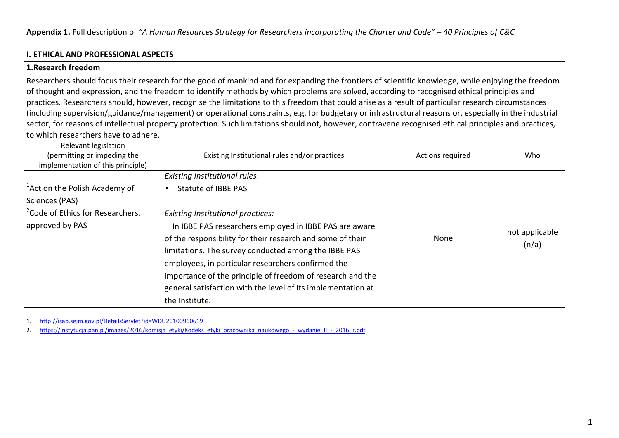#### **I. ETHICAL AND PROFESSIONAL ASPECTS**

#### **1.Research freedom**

 Researchers should focus their research for the good of mankind and for expanding the frontiers of scientific knowledge, while enjoying the freedom of thought and expression, and the freedom to identify methods by which problems are solved, according to recognised ethical principles and practices. Researchers should, however, recognise the limitations to this freedom that could arise as a result of particular research circumstances (including supervision/guidance/management) or operational constraints, e.g. for budgetary or infrastructural reasons or, especially in the industrial sector, for reasons of intellectual property protection. Such limitations should not, however, contravene recognised ethical principles and practices, to which researchers have to adhere.

| Relevant legislation<br>(permitting or impeding the<br>implementation of this principle) | Existing Institutional rules and/or practices                | Actions required | Who            |
|------------------------------------------------------------------------------------------|--------------------------------------------------------------|------------------|----------------|
|                                                                                          | <b>Existing Institutional rules:</b>                         |                  |                |
| <sup>1</sup> Act on the Polish Academy of                                                | <b>Statute of IBBE PAS</b>                                   |                  |                |
| Sciences (PAS)                                                                           |                                                              |                  |                |
| <sup>2</sup> Code of Ethics for Researchers,                                             | Existing Institutional practices:                            |                  |                |
| approved by PAS                                                                          | In IBBE PAS researchers employed in IBBE PAS are aware       |                  |                |
|                                                                                          | of the responsibility for their research and some of their   | <b>None</b>      | not applicable |
|                                                                                          | limitations. The survey conducted among the IBBE PAS         |                  | (n/a)          |
|                                                                                          | employees, in particular researchers confirmed the           |                  |                |
|                                                                                          | importance of the principle of freedom of research and the   |                  |                |
|                                                                                          | general satisfaction with the level of its implementation at |                  |                |
|                                                                                          | the Institute.                                               |                  |                |

1.http://isap.sejm.gov.pl/DetailsServlet?id=WDU20100960619

https://instytucja.pan.pl/images/2016/komisja\_etyki/Kodeks\_etyki\_pracownika\_naukowego\_-\_wydanie\_II\_-\_2016\_r.pdf 2.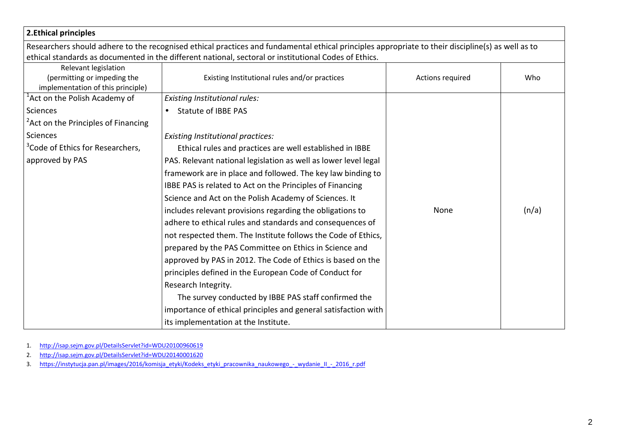| 2. Ethical principles                                                                    |                                                                                                                                                   |                  |       |
|------------------------------------------------------------------------------------------|---------------------------------------------------------------------------------------------------------------------------------------------------|------------------|-------|
|                                                                                          | Researchers should adhere to the recognised ethical practices and fundamental ethical principles appropriate to their discipline(s) as well as to |                  |       |
|                                                                                          | ethical standards as documented in the different national, sectoral or institutional Codes of Ethics.                                             |                  |       |
| Relevant legislation<br>(permitting or impeding the<br>implementation of this principle) | Existing Institutional rules and/or practices                                                                                                     | Actions required | Who   |
| <sup>1</sup> Act on the Polish Academy of                                                | <b>Existing Institutional rules:</b>                                                                                                              |                  |       |
| <b>Sciences</b>                                                                          | <b>Statute of IBBE PAS</b><br>$\bullet$                                                                                                           |                  |       |
| <sup>2</sup> Act on the Principles of Financing                                          |                                                                                                                                                   |                  |       |
| <b>Sciences</b>                                                                          | <b>Existing Institutional practices:</b>                                                                                                          |                  |       |
| <sup>3</sup> Code of Ethics for Researchers,                                             | Ethical rules and practices are well established in IBBE                                                                                          |                  |       |
| approved by PAS                                                                          | PAS. Relevant national legislation as well as lower level legal                                                                                   |                  |       |
|                                                                                          | framework are in place and followed. The key law binding to                                                                                       |                  |       |
|                                                                                          | IBBE PAS is related to Act on the Principles of Financing                                                                                         |                  |       |
|                                                                                          | Science and Act on the Polish Academy of Sciences. It                                                                                             |                  |       |
|                                                                                          | includes relevant provisions regarding the obligations to                                                                                         | None             | (n/a) |
|                                                                                          | adhere to ethical rules and standards and consequences of                                                                                         |                  |       |
|                                                                                          | not respected them. The Institute follows the Code of Ethics,                                                                                     |                  |       |
|                                                                                          | prepared by the PAS Committee on Ethics in Science and                                                                                            |                  |       |
|                                                                                          | approved by PAS in 2012. The Code of Ethics is based on the                                                                                       |                  |       |
|                                                                                          | principles defined in the European Code of Conduct for                                                                                            |                  |       |
|                                                                                          | Research Integrity.                                                                                                                               |                  |       |
|                                                                                          | The survey conducted by IBBE PAS staff confirmed the                                                                                              |                  |       |
|                                                                                          | importance of ethical principles and general satisfaction with                                                                                    |                  |       |
|                                                                                          | its implementation at the Institute.                                                                                                              |                  |       |

- 1. http://isap.sejm.gov.pl/DetailsServlet?id=WDU20100960619
- 2. http://isap.sejm.gov.pl/DetailsServlet?id=WDU20140001620
- 3. https://instytucja.pan.pl/images/2016/komisja\_etyki/Kodeks\_etyki\_pracownika\_naukowego\_-\_wydanie\_II\_-\_2016\_r.pdf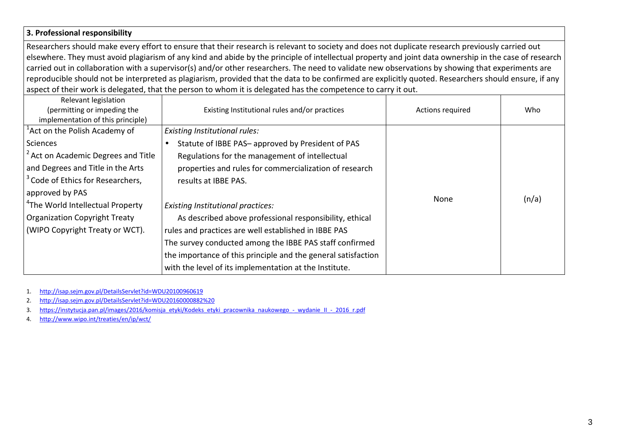#### **3. Professional responsibility**

Researchers should make every effort to ensure that their research is relevant to society and does not duplicate research previously carried out elsewhere. They must avoid plagiarism of any kind and abide by the principle of intellectual property and joint data ownership in the case of research carried out in collaboration with a supervisor(s) and/or other researchers. The need to validate new observations by showing that experiments are reproducible should not be interpreted as plagiarism, provided that the data to be confirmed are explicitly quoted. Researchers should ensure, if any aspect of their work is delegated, that the person to whom it is delegated has the competence to carry it out.

| Relevant legislation<br>(permitting or impeding the<br>implementation of this principle) | Existing Institutional rules and/or practices                 | Actions required | Who   |
|------------------------------------------------------------------------------------------|---------------------------------------------------------------|------------------|-------|
| <sup>1</sup> Act on the Polish Academy of                                                | Existing Institutional rules:                                 |                  |       |
| <b>Sciences</b>                                                                          | Statute of IBBE PAS- approved by President of PAS             |                  |       |
| <sup>2</sup> Act on Academic Degrees and Title                                           | Regulations for the management of intellectual                |                  |       |
| and Degrees and Title in the Arts                                                        | properties and rules for commercialization of research        |                  |       |
| <sup>3</sup> Code of Ethics for Researchers,                                             | results at IBBE PAS.                                          |                  |       |
| approved by PAS                                                                          |                                                               |                  |       |
| <sup>4</sup> The World Intellectual Property                                             | <b>Existing Institutional practices:</b>                      | None             | (n/a) |
| <b>Organization Copyright Treaty</b>                                                     | As described above professional responsibility, ethical       |                  |       |
| (WIPO Copyright Treaty or WCT).                                                          | rules and practices are well established in IBBE PAS          |                  |       |
|                                                                                          | The survey conducted among the IBBE PAS staff confirmed       |                  |       |
|                                                                                          | the importance of this principle and the general satisfaction |                  |       |
|                                                                                          | with the level of its implementation at the Institute.        |                  |       |

1.http://isap.sejm.gov.pl/DetailsServlet?id=WDU20100960619

http://isap.sejm.gov.pl/DetailsServlet?id=WDU20160000882%20 2.

https://instytucja.pan.pl/images/2016/komisja\_etyki/Kodeks\_etyki\_pracownika\_naukowego\_-\_wydanie\_II\_-\_2016\_r.pdf 3.

4.http://www.wipo.int/treaties/en/ip/wct/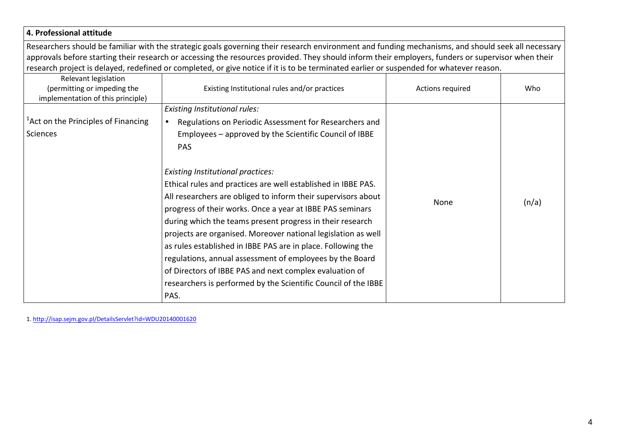# **4. Professional attitude**

Researchers should be familiar with the strategic goals governing their research environment and funding mechanisms, and should seek all necessary approvals before starting their research or accessing the resources provided. They should inform their employers, funders or supervisor when their research project is delayed, redefined or completed, or give notice if it is to be terminated earlier or suspended for whatever reason.

| Relevant legislation<br>(permitting or impeding the<br>implementation of this principle) | Existing Institutional rules and/or practices                                                                                                                                                                                                                                                                                                                                                                                                                                                                                                                                                                                          | Actions required | Who   |
|------------------------------------------------------------------------------------------|----------------------------------------------------------------------------------------------------------------------------------------------------------------------------------------------------------------------------------------------------------------------------------------------------------------------------------------------------------------------------------------------------------------------------------------------------------------------------------------------------------------------------------------------------------------------------------------------------------------------------------------|------------------|-------|
| <sup>1</sup> Act on the Principles of Financing<br>Sciences                              | <b>Existing Institutional rules:</b><br>Regulations on Periodic Assessment for Researchers and<br>Employees - approved by the Scientific Council of IBBE<br><b>PAS</b>                                                                                                                                                                                                                                                                                                                                                                                                                                                                 |                  |       |
|                                                                                          | <b>Existing Institutional practices:</b><br>Ethical rules and practices are well established in IBBE PAS.<br>All researchers are obliged to inform their supervisors about<br>progress of their works. Once a year at IBBE PAS seminars<br>during which the teams present progress in their research<br>projects are organised. Moreover national legislation as well<br>as rules established in IBBE PAS are in place. Following the<br>regulations, annual assessment of employees by the Board<br>of Directors of IBBE PAS and next complex evaluation of<br>researchers is performed by the Scientific Council of the IBBE<br>PAS. | None             | (n/a) |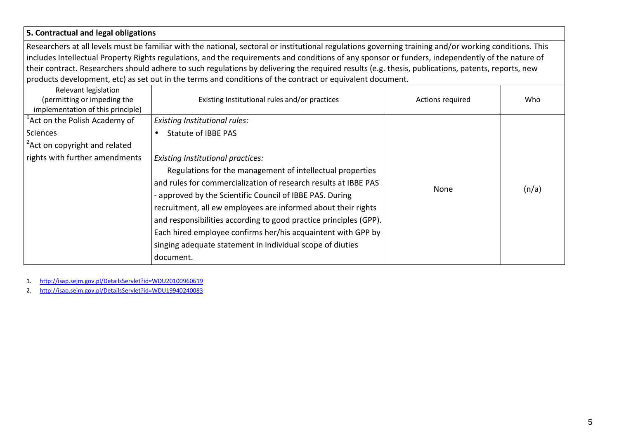# **5. Contractual and legal obligations**

Researchers at all levels must be familiar with the national, sectoral or institutional regulations governing training and/or working conditions. This includes Intellectual Property Rights regulations, and the requirements and conditions of any sponsor or funders, independently of the nature of their contract. Researchers should adhere to such regulations by delivering the required results (e.g. thesis, publications, patents, reports, new products development, etc) as set out in the terms and conditions of the contract or equivalent document.

| Relevant legislation<br>(permitting or impeding the<br>implementation of this principle) | Existing Institutional rules and/or practices                                                                                                                                                                                                                                                                                                                                                                                                                                                                        | Actions required | Who   |
|------------------------------------------------------------------------------------------|----------------------------------------------------------------------------------------------------------------------------------------------------------------------------------------------------------------------------------------------------------------------------------------------------------------------------------------------------------------------------------------------------------------------------------------------------------------------------------------------------------------------|------------------|-------|
| <sup>1</sup> Act on the Polish Academy of                                                | <b>Existing Institutional rules:</b>                                                                                                                                                                                                                                                                                                                                                                                                                                                                                 |                  |       |
| Sciences                                                                                 | Statute of IBBE PAS                                                                                                                                                                                                                                                                                                                                                                                                                                                                                                  |                  |       |
| <sup>2</sup> Act on copyright and related                                                |                                                                                                                                                                                                                                                                                                                                                                                                                                                                                                                      |                  |       |
| rights with further amendments                                                           | <b>Existing Institutional practices:</b><br>Regulations for the management of intellectual properties<br>and rules for commercialization of research results at IBBE PAS<br>- approved by the Scientific Council of IBBE PAS. During<br>recruitment, all ew employees are informed about their rights<br>and responsibilities according to good practice principles (GPP).<br>Each hired employee confirms her/his acquaintent with GPP by<br>singing adequate statement in individual scope of diuties<br>document. | None             | (n/a) |

1.http://isap.sejm.gov.pl/DetailsServlet?id=WDU20100960619

http://isap.sejm.gov.pl/DetailsServlet?id=WDU19940240083 2.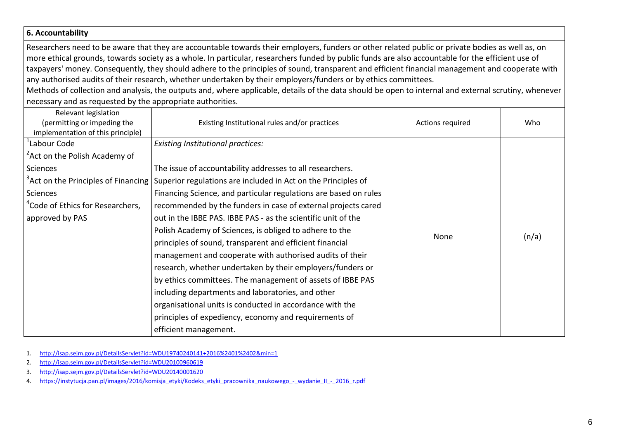#### **6. Accountability**

Researchers need to be aware that they are accountable towards their employers, funders or other related public or private bodies as well as, on more ethical grounds, towards society as a whole. In particular, researchers funded by public funds are also accountable for the efficient use of taxpayers' money. Consequently, they should adhere to the principles of sound, transparent and efficient financial management and cooperate with any authorised audits of their research, whether undertaken by their employers/funders or by ethics committees.

 Methods of collection and analysis, the outputs and, where applicable, details of the data should be open to internal and external scrutiny, whenever necessary and as requested by the appropriate authorities.

| Relevant legislation<br>(permitting or impeding the<br>implementation of this principle) | Existing Institutional rules and/or practices                                                        | Actions required | Who   |
|------------------------------------------------------------------------------------------|------------------------------------------------------------------------------------------------------|------------------|-------|
| <sup>1</sup> Labour Code                                                                 | <b>Existing Institutional practices:</b>                                                             |                  |       |
| <sup>2</sup> Act on the Polish Academy of                                                |                                                                                                      |                  |       |
| Sciences                                                                                 | The issue of accountability addresses to all researchers.                                            |                  |       |
|                                                                                          | $3$ Act on the Principles of Financing Superior regulations are included in Act on the Principles of |                  |       |
| Sciences                                                                                 | Financing Science, and particular regulations are based on rules                                     |                  |       |
| <sup>4</sup> Code of Ethics for Researchers,                                             | recommended by the funders in case of external projects cared                                        |                  |       |
| approved by PAS                                                                          | out in the IBBE PAS. IBBE PAS - as the scientific unit of the                                        |                  |       |
|                                                                                          | Polish Academy of Sciences, is obliged to adhere to the                                              | None             | (n/a) |
|                                                                                          | principles of sound, transparent and efficient financial                                             |                  |       |
|                                                                                          | management and cooperate with authorised audits of their                                             |                  |       |
|                                                                                          | research, whether undertaken by their employers/funders or                                           |                  |       |
|                                                                                          | by ethics committees. The management of assets of IBBE PAS                                           |                  |       |
|                                                                                          | including departments and laboratories, and other                                                    |                  |       |
|                                                                                          | organisational units is conducted in accordance with the                                             |                  |       |
|                                                                                          | principles of expediency, economy and requirements of                                                |                  |       |
|                                                                                          | efficient management.                                                                                |                  |       |

1.http://isap.sejm.gov.pl/DetailsServlet?id=WDU19740240141+2016%2401%2402&min=1

- 2.http://isap.sejm.gov.pl/DetailsServlet?id=WDU20100960619
- http://isap.sejm.gov.pl/DetailsServlet?id=WDU20140001620 3.
- https://instytucja.pan.pl/images/2016/komisja\_etyki/Kodeks\_etyki\_pracownika\_naukowego\_-\_wydanie\_II\_-\_2016\_r.pdf 4.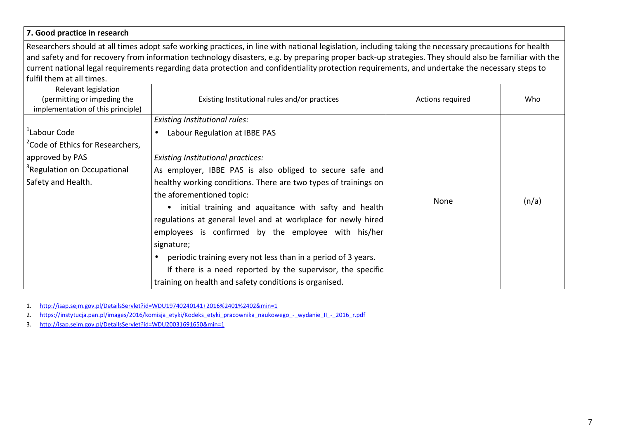#### **7. Good practice in research**

Researchers should at all times adopt safe working practices, in line with national legislation, including taking the necessary precautions for health and safety and for recovery from information technology disasters, e.g. by preparing proper back-up strategies. They should also be familiar with the current national legal requirements regarding data protection and confidentiality protection requirements, and undertake the necessary steps to fulfil them at all times.

| Relevant legislation<br>(permitting or impeding the<br>implementation of this principle)                                                                     | Existing Institutional rules and/or practices                                                                                                                                                                                                                                                                                                                                                                                                                                                                                                                                                                                                                                       | Actions required | Who   |
|--------------------------------------------------------------------------------------------------------------------------------------------------------------|-------------------------------------------------------------------------------------------------------------------------------------------------------------------------------------------------------------------------------------------------------------------------------------------------------------------------------------------------------------------------------------------------------------------------------------------------------------------------------------------------------------------------------------------------------------------------------------------------------------------------------------------------------------------------------------|------------------|-------|
| <sup>1</sup> Labour Code<br><sup>2</sup> Code of Ethics for Researchers,<br>approved by PAS<br><sup>3</sup> Regulation on Occupational<br>Safety and Health. | <b>Existing Institutional rules:</b><br>Labour Regulation at IBBE PAS<br><b>Existing Institutional practices:</b><br>As employer, IBBE PAS is also obliged to secure safe and<br>healthy working conditions. There are two types of trainings on<br>the aforementioned topic:<br>initial training and aquaitance with safty and health<br>$\bullet$<br>regulations at general level and at workplace for newly hired<br>employees is confirmed by the employee with his/her<br>signature;<br>periodic training every not less than in a period of 3 years.<br>If there is a need reported by the supervisor, the specific<br>training on health and safety conditions is organised. | None             | (n/a) |

1.http://isap.sejm.gov.pl/DetailsServlet?id=WDU19740240141+2016%2401%2402&min=1

https://instytucja.pan.pl/images/2016/komisja\_etyki/Kodeks\_etyki\_pracownika\_naukowego\_-\_wydanie\_II\_-\_2016\_r.pdf 2.

3.http://isap.sejm.gov.pl/DetailsServlet?id=WDU20031691650&min=1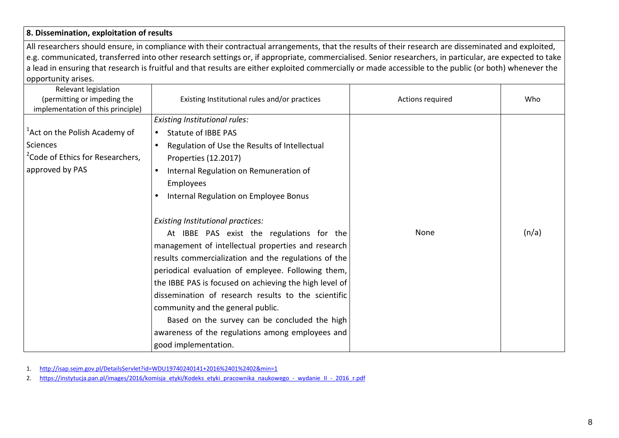## **8. Dissemination, exploitation of results**

All researchers should ensure, in compliance with their contractual arrangements, that the results of their research are disseminated and exploited, e.g. communicated, transferred into other research settings or, if appropriate, commercialised. Senior researchers, in particular, are expected to take a lead in ensuring that research is fruitful and that results are either exploited commercially or made accessible to the public (or both) whenever the opportunity arises.

| Relevant legislation<br>(permitting or impeding the<br>implementation of this principle) | Existing Institutional rules and/or practices              | Actions required | Who   |
|------------------------------------------------------------------------------------------|------------------------------------------------------------|------------------|-------|
|                                                                                          | Existing Institutional rules:                              |                  |       |
| <sup>1</sup> Act on the Polish Academy of                                                | Statute of IBBE PAS                                        |                  |       |
| Sciences                                                                                 | Regulation of Use the Results of Intellectual<br>$\bullet$ |                  |       |
| <sup>2</sup> Code of Ethics for Researchers,                                             | Properties (12.2017)                                       |                  |       |
| approved by PAS                                                                          | Internal Regulation on Remuneration of<br>$\bullet$        |                  |       |
|                                                                                          | Employees                                                  |                  |       |
|                                                                                          | Internal Regulation on Employee Bonus                      |                  |       |
|                                                                                          |                                                            |                  |       |
|                                                                                          | <b>Existing Institutional practices:</b>                   |                  |       |
|                                                                                          | At IBBE PAS exist the regulations for the                  | None             | (n/a) |
|                                                                                          | management of intellectual properties and research         |                  |       |
|                                                                                          | results commercialization and the regulations of the       |                  |       |
|                                                                                          | periodical evaluation of empleyee. Following them,         |                  |       |
|                                                                                          | the IBBE PAS is focused on achieving the high level of     |                  |       |
|                                                                                          | dissemination of research results to the scientific        |                  |       |
|                                                                                          | community and the general public.                          |                  |       |
|                                                                                          | Based on the survey can be concluded the high              |                  |       |
|                                                                                          | awareness of the regulations among employees and           |                  |       |
|                                                                                          | good implementation.                                       |                  |       |

1.http://isap.sejm.gov.pl/DetailsServlet?id=WDU19740240141+2016%2401%2402&min=1

https://instytucja.pan.pl/images/2016/komisja\_etyki/Kodeks\_etyki\_pracownika\_naukowego\_-\_wydanie\_II\_-\_2016\_r.pdf 2.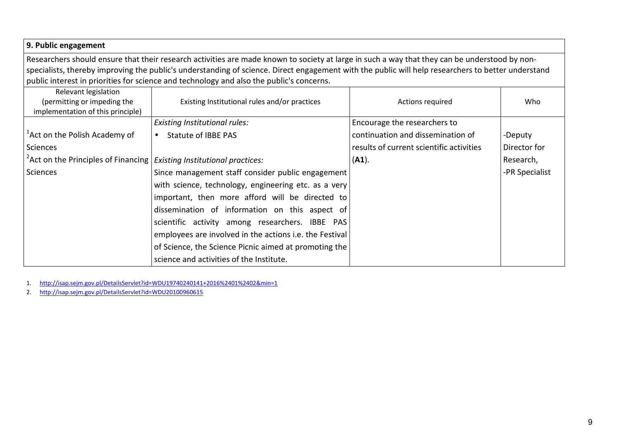| 9. Public engagement                                                                |                                                                                                                                                    |                                          |                |
|-------------------------------------------------------------------------------------|----------------------------------------------------------------------------------------------------------------------------------------------------|------------------------------------------|----------------|
|                                                                                     | Researchers should ensure that their research activities are made known to society at large in such a way that they can be understood by non-      |                                          |                |
|                                                                                     | specialists, thereby improving the public's understanding of science. Direct engagement with the public will help researchers to better understand |                                          |                |
|                                                                                     | public interest in priorities for science and technology and also the public's concerns.                                                           |                                          |                |
| Relevant legislation                                                                |                                                                                                                                                    |                                          |                |
| (permitting or impeding the                                                         | Existing Institutional rules and/or practices                                                                                                      | Actions required                         | Who            |
| implementation of this principle)                                                   |                                                                                                                                                    |                                          |                |
|                                                                                     | <b>Existing Institutional rules:</b>                                                                                                               | Encourage the researchers to             |                |
| <sup>1</sup> Act on the Polish Academy of                                           | <b>Statute of IBBE PAS</b><br>$\bullet$                                                                                                            | continuation and dissemination of        | -Deputy        |
| <b>Sciences</b>                                                                     |                                                                                                                                                    | results of current scientific activities | Director for   |
| <sup>2</sup> Act on the Principles of Financing   Existing Institutional practices: |                                                                                                                                                    | (A1).                                    | Research,      |
| <b>Sciences</b>                                                                     | Since management staff consider public engagement                                                                                                  |                                          | -PR Specialist |
|                                                                                     | with science, technology, engineering etc. as a very                                                                                               |                                          |                |
|                                                                                     | important, then more afford will be directed to                                                                                                    |                                          |                |
|                                                                                     | dissemination of information on this aspect of                                                                                                     |                                          |                |
|                                                                                     | scientific activity among researchers. IBBE PAS                                                                                                    |                                          |                |
|                                                                                     | employees are involved in the actions i.e. the Festival                                                                                            |                                          |                |
|                                                                                     | of Science, the Science Picnic aimed at promoting the                                                                                              |                                          |                |
|                                                                                     | science and activities of the Institute.                                                                                                           |                                          |                |

1. http://isap.sejm.gov.pl/DetailsServlet?id=WDU19740240141+2016%2401%2402&min=1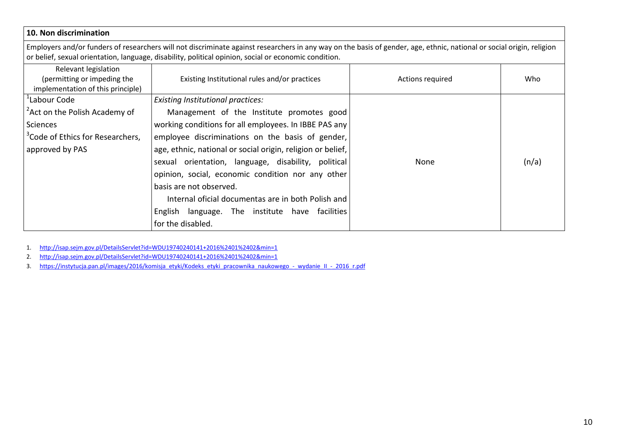# **10. Non discrimination**

Employers and/or funders of researchers will not discriminate against researchers in any way on the basis of gender, age, ethnic, national or social origin, religion or belief, sexual orientation, language, disability, political opinion, social or economic condition.

| Relevant legislation<br>(permitting or impeding the<br>implementation of this principle) | Existing Institutional rules and/or practices               | Actions required | Who   |
|------------------------------------------------------------------------------------------|-------------------------------------------------------------|------------------|-------|
| <sup>1</sup> Labour Code                                                                 | <b>Existing Institutional practices:</b>                    |                  |       |
| <sup>2</sup> Act on the Polish Academy of                                                | Management of the Institute promotes good                   |                  |       |
| Sciences                                                                                 | working conditions for all employees. In IBBE PAS any       |                  |       |
| <sup>3</sup> Code of Ethics for Researchers,                                             | employee discriminations on the basis of gender,            |                  |       |
| approved by PAS                                                                          | age, ethnic, national or social origin, religion or belief, |                  |       |
|                                                                                          | sexual orientation, language, disability, political         | None             | (n/a) |
|                                                                                          | opinion, social, economic condition nor any other           |                  |       |
|                                                                                          | basis are not observed.                                     |                  |       |
|                                                                                          | Internal oficial documentas are in both Polish and          |                  |       |
|                                                                                          | English language. The institute have facilities             |                  |       |
|                                                                                          | for the disabled.                                           |                  |       |

1.http://isap.sejm.gov.pl/DetailsServlet?id=WDU19740240141+2016%2401%2402&min=1

http://isap.sejm.gov.pl/DetailsServlet?id=WDU19740240141+2016%2401%2402&min=1 2.

https://instytucja.pan.pl/images/2016/komisja\_etyki/Kodeks\_etyki\_pracownika\_naukowego\_-\_wydanie\_II\_-\_2016\_r.pdf 3.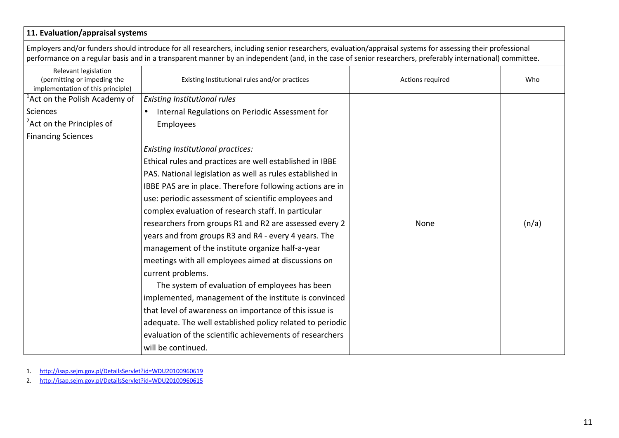# **11. Evaluation/appraisal systems**

Employers and/or funders should introduce for all researchers, including senior researchers, evaluation/appraisal systems for assessing their professional performance on a regular basis and in a transparent manner by an independent (and, in the case of senior researchers, preferably international) committee.

| Relevant legislation<br>(permitting or impeding the<br>implementation of this principle) | Existing Institutional rules and/or practices             | Actions required | Who   |
|------------------------------------------------------------------------------------------|-----------------------------------------------------------|------------------|-------|
| <sup>1</sup> Act on the Polish Academy of                                                | <b>Existing Institutional rules</b>                       |                  |       |
| Sciences                                                                                 | Internal Regulations on Periodic Assessment for           |                  |       |
| <sup>2</sup> Act on the Principles of                                                    | Employees                                                 |                  |       |
| <b>Financing Sciences</b>                                                                |                                                           |                  |       |
|                                                                                          | <b>Existing Institutional practices:</b>                  |                  |       |
|                                                                                          | Ethical rules and practices are well established in IBBE  |                  |       |
|                                                                                          | PAS. National legislation as well as rules established in |                  |       |
|                                                                                          | IBBE PAS are in place. Therefore following actions are in |                  |       |
|                                                                                          | use: periodic assessment of scientific employees and      |                  |       |
|                                                                                          | complex evaluation of research staff. In particular       |                  |       |
|                                                                                          | researchers from groups R1 and R2 are assessed every 2    | None             | (n/a) |
|                                                                                          | years and from groups R3 and R4 - every 4 years. The      |                  |       |
|                                                                                          | management of the institute organize half-a-year          |                  |       |
|                                                                                          | meetings with all employees aimed at discussions on       |                  |       |
|                                                                                          | current problems.                                         |                  |       |
|                                                                                          | The system of evaluation of employees has been            |                  |       |
|                                                                                          | implemented, management of the institute is convinced     |                  |       |
|                                                                                          | that level of awareness on importance of this issue is    |                  |       |
|                                                                                          | adequate. The well established policy related to periodic |                  |       |
|                                                                                          | evaluation of the scientific achievements of researchers  |                  |       |
|                                                                                          | will be continued.                                        |                  |       |

1.http://isap.sejm.gov.pl/DetailsServlet?id=WDU20100960619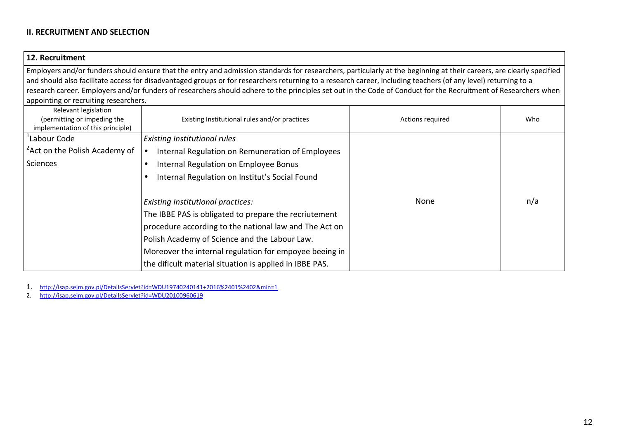#### **II. RECRUITMENT AND SELECTION**

#### **12. Recruitment**

Employers and/or funders should ensure that the entry and admission standards for researchers, particularly at the beginning at their careers, are clearly specified and should also facilitate access for disadvantaged groups or for researchers returning to a research career, including teachers (of any level) returning to a research career. Employers and/or funders of researchers should adhere to the principles set out in the Code of Conduct for the Recruitment of Researchers whenappointing or recruiting researchers.

| Relevant legislation<br>(permitting or impeding the<br>implementation of this principle) | Existing Institutional rules and/or practices           | Actions required | Who |
|------------------------------------------------------------------------------------------|---------------------------------------------------------|------------------|-----|
| <sup>1</sup> Labour Code                                                                 | Existing Institutional rules                            |                  |     |
| <sup>2</sup> Act on the Polish Academy of                                                | Internal Regulation on Remuneration of Employees        |                  |     |
| Sciences                                                                                 | Internal Regulation on Employee Bonus                   |                  |     |
|                                                                                          | Internal Regulation on Institut's Social Found          |                  |     |
|                                                                                          |                                                         |                  |     |
|                                                                                          | <b>Existing Institutional practices:</b>                | None             | n/a |
|                                                                                          | The IBBE PAS is obligated to prepare the recriutement   |                  |     |
|                                                                                          | procedure according to the national law and The Act on  |                  |     |
|                                                                                          | Polish Academy of Science and the Labour Law.           |                  |     |
|                                                                                          | Moreover the internal regulation for empoyee beeing in  |                  |     |
|                                                                                          | the dificult material situation is applied in IBBE PAS. |                  |     |

1.http://isap.sejm.gov.pl/DetailsServlet?id=WDU19740240141+2016%2401%2402&min=1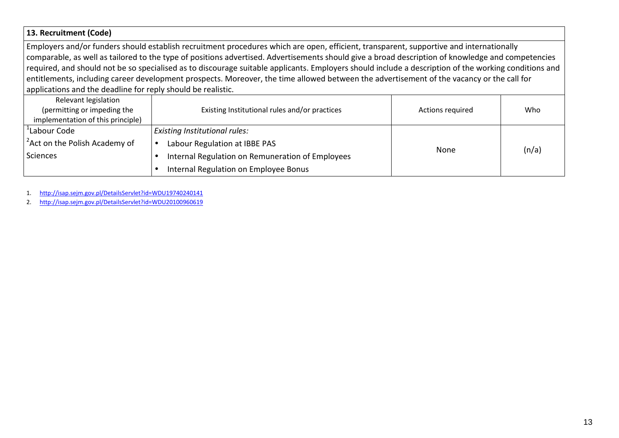## **13. Recruitment (Code)**

Employers and/or funders should establish recruitment procedures which are open, efficient, transparent, supportive and internationally comparable, as well as tailored to the type of positions advertised. Advertisements should give a broad description of knowledge and competencies required, and should not be so specialised as to discourage suitable applicants. Employers should include a description of the working conditions and entitlements, including career development prospects. Moreover, the time allowed between the advertisement of the vacancy or the call for applications and the deadline for reply should be realistic.

| Relevant legislation<br>(permitting or impeding the<br>implementation of this principle) | Existing Institutional rules and/or practices    | Actions required | Who   |
|------------------------------------------------------------------------------------------|--------------------------------------------------|------------------|-------|
| <sup>'</sup> Labour Code                                                                 | <b>Existing Institutional rules:</b>             |                  |       |
| <sup>2</sup> Act on the Polish Academy of                                                | Labour Regulation at IBBE PAS                    |                  |       |
| Sciences                                                                                 | Internal Regulation on Remuneration of Employees | None             | (n/a) |
|                                                                                          | Internal Regulation on Employee Bonus            |                  |       |

1.http://isap.sejm.gov.pl/DetailsServlet?id=WDU19740240141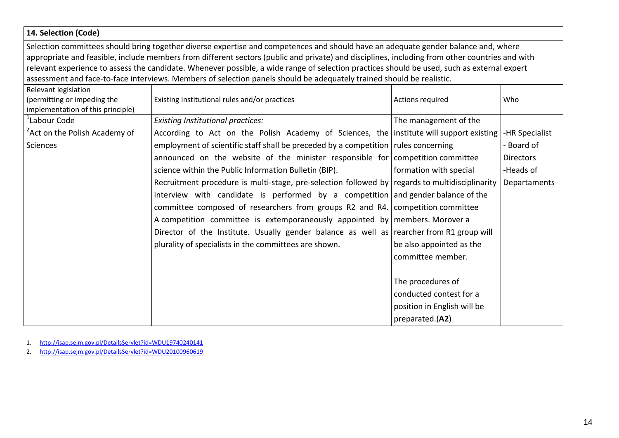# **14. Selection (Code)**

Selection committees should bring together diverse expertise and competences and should have an adequate gender balance and, where appropriate and feasible, include members from different sectors (public and private) and disciplines, including from other countries and with relevant experience to assess the candidate. Whenever possible, a wide range of selection practices should be used, such as external expert assessment and face-to-face interviews. Members of selection panels should be adequately trained should be realistic.

| Relevant legislation<br>(permitting or impeding the<br>implementation of this principle) | Existing Institutional rules and/or practices                                                  | Actions required            | Who              |
|------------------------------------------------------------------------------------------|------------------------------------------------------------------------------------------------|-----------------------------|------------------|
| Labour Code                                                                              | <b>Existing Institutional practices:</b>                                                       | The management of the       |                  |
| <sup>2</sup> Act on the Polish Academy of                                                | According to Act on the Polish Academy of Sciences, the institute will support existing        |                             | -HR Specialist   |
| Sciences                                                                                 | employment of scientific staff shall be preceded by a competition rules concerning             |                             | - Board of       |
|                                                                                          | announced on the website of the minister responsible for competition committee                 |                             | <b>Directors</b> |
|                                                                                          | science within the Public Information Bulletin (BIP).                                          | formation with special      | -Heads of        |
|                                                                                          | Recruitment procedure is multi-stage, pre-selection followed by regards to multidisciplinarity |                             | Departaments     |
|                                                                                          | interview with candidate is performed by a competition and gender balance of the               |                             |                  |
|                                                                                          | committee composed of researchers from groups R2 and R4. competition committee                 |                             |                  |
|                                                                                          | A competition committee is extemporaneously appointed by   members. Morover a                  |                             |                  |
|                                                                                          | Director of the Institute. Usually gender balance as well as rearcher from R1 group will       |                             |                  |
|                                                                                          | plurality of specialists in the committees are shown.                                          | be also appointed as the    |                  |
|                                                                                          |                                                                                                | committee member.           |                  |
|                                                                                          |                                                                                                |                             |                  |
|                                                                                          |                                                                                                | The procedures of           |                  |
|                                                                                          |                                                                                                | conducted contest for a     |                  |
|                                                                                          |                                                                                                | position in English will be |                  |
|                                                                                          |                                                                                                | preparated.(A2)             |                  |

1.http://isap.sejm.gov.pl/DetailsServlet?id=WDU19740240141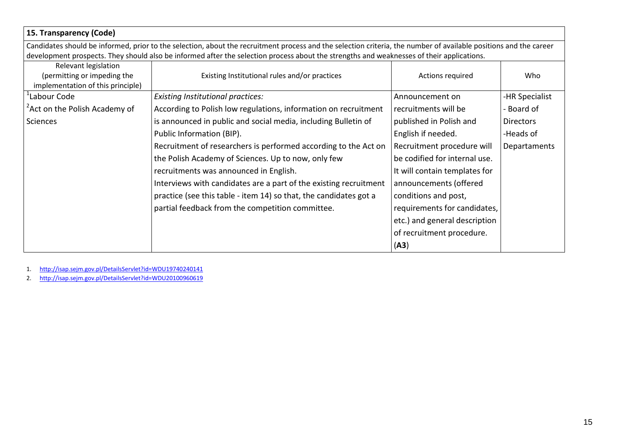| 15. Transparency (Code)                   |                                                                                                                                                                   |                               |                  |
|-------------------------------------------|-------------------------------------------------------------------------------------------------------------------------------------------------------------------|-------------------------------|------------------|
|                                           | Candidates should be informed, prior to the selection, about the recruitment process and the selection criteria, the number of available positions and the career |                               |                  |
|                                           | development prospects. They should also be informed after the selection process about the strengths and weaknesses of their applications.                         |                               |                  |
| Relevant legislation                      |                                                                                                                                                                   |                               |                  |
| (permitting or impeding the               | Existing Institutional rules and/or practices                                                                                                                     | Actions required              | Who              |
| implementation of this principle)         |                                                                                                                                                                   |                               |                  |
| 'Labour Code                              | <b>Existing Institutional practices:</b>                                                                                                                          | Announcement on               | -HR Specialist   |
| <sup>2</sup> Act on the Polish Academy of | According to Polish low regulations, information on recruitment                                                                                                   | recruitments will be          | - Board of       |
| Sciences                                  | is announced in public and social media, including Bulletin of                                                                                                    | published in Polish and       | <b>Directors</b> |
|                                           | Public Information (BIP).                                                                                                                                         | English if needed.            | -Heads of        |
|                                           | Recruitment of researchers is performed according to the Act on                                                                                                   | Recruitment procedure will    | Departaments     |
|                                           | the Polish Academy of Sciences. Up to now, only few                                                                                                               | be codified for internal use. |                  |
|                                           | recruitments was announced in English.                                                                                                                            | It will contain templates for |                  |
|                                           | Interviews with candidates are a part of the existing recruitment                                                                                                 | announcements (offered        |                  |
|                                           | practice (see this table - item 14) so that, the candidates got a                                                                                                 | conditions and post,          |                  |
|                                           | partial feedback from the competition committee.                                                                                                                  | requirements for candidates,  |                  |
|                                           |                                                                                                                                                                   | etc.) and general description |                  |
|                                           |                                                                                                                                                                   | of recruitment procedure.     |                  |
|                                           |                                                                                                                                                                   | (A3)                          |                  |

1. http://isap.sejm.gov.pl/DetailsServlet?id=WDU19740240141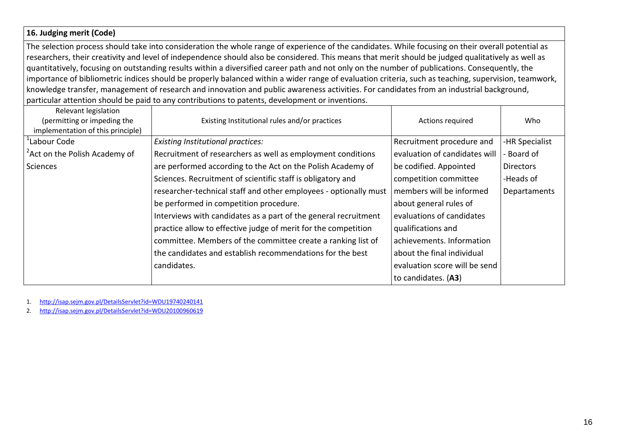#### **16. Judging merit (Code)**

The selection process should take into consideration the whole range of experience of the candidates. While focusing on their overall potential as researchers, their creativity and level of independence should also be considered. This means that merit should be judged qualitatively as well as quantitatively, focusing on outstanding results within a diversified career path and not only on the number of publications. Consequently, the importance of bibliometric indices should be properly balanced within a wider range of evaluation criteria, such as teaching, supervision, teamwork, knowledge transfer, management of research and innovation and public awareness activities. For candidates from an industrial background, particular attention should be paid to any contributions to patents, development or inventions.

| Relevant legislation<br>(permitting or impeding the<br>implementation of this principle) | Existing Institutional rules and/or practices                    | Actions required              | Who              |
|------------------------------------------------------------------------------------------|------------------------------------------------------------------|-------------------------------|------------------|
| <sup>'</sup> Labour Code                                                                 | Existing Institutional practices:                                | Recruitment procedure and     | -HR Specialist   |
| <sup>2</sup> Act on the Polish Academy of                                                | Recruitment of researchers as well as employment conditions      | evaluation of candidates will | - Board of       |
| <b>Sciences</b>                                                                          | are performed according to the Act on the Polish Academy of      | be codified. Appointed        | <b>Directors</b> |
|                                                                                          | Sciences. Recruitment of scientific staff is obligatory and      | competition committee         | -Heads of        |
|                                                                                          | researcher-technical staff and other employees - optionally must | members will be informed      | Departaments     |
|                                                                                          | be performed in competition procedure.                           | about general rules of        |                  |
|                                                                                          | Interviews with candidates as a part of the general recruitment  | evaluations of candidates     |                  |
|                                                                                          | practice allow to effective judge of merit for the competition   | qualifications and            |                  |
|                                                                                          | committee. Members of the committee create a ranking list of     | achievements. Information     |                  |
|                                                                                          | the candidates and establish recommendations for the best        | about the final individual    |                  |
|                                                                                          | candidates.                                                      | evaluation score will be send |                  |
|                                                                                          |                                                                  | to candidates. (A3)           |                  |

1.http://isap.sejm.gov.pl/DetailsServlet?id=WDU19740240141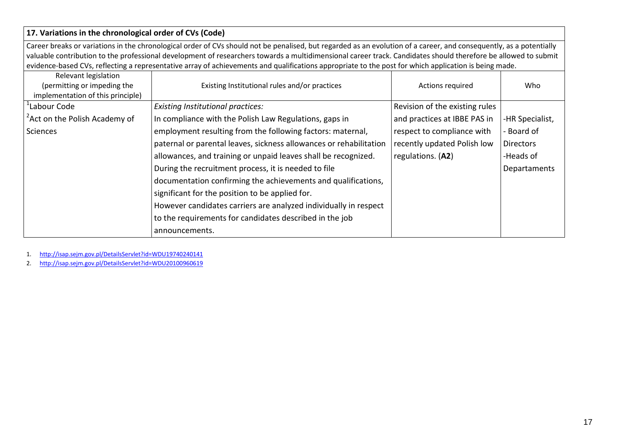# **17. Variations in the chronological order of CVs (Code)**

Career breaks or variations in the chronological order of CVs should not be penalised, but regarded as an evolution of a career, and consequently, as a potentially valuable contribution to the professional development of researchers towards a multidimensional career track. Candidates should therefore be allowed to submit evidence-based CVs, reflecting a representative array of achievements and qualifications appropriate to the post for which application is being made.

| Relevant legislation<br>(permitting or impeding the | Existing Institutional rules and/or practices                      | Actions required               | Who              |
|-----------------------------------------------------|--------------------------------------------------------------------|--------------------------------|------------------|
| implementation of this principle)                   |                                                                    |                                |                  |
| Labour Code                                         | Existing Institutional practices:                                  | Revision of the existing rules |                  |
| <sup>2</sup> Act on the Polish Academy of           | In compliance with the Polish Law Regulations, gaps in             | and practices at IBBE PAS in   | -HR Specialist,  |
| Sciences                                            | employment resulting from the following factors: maternal,         | respect to compliance with     | - Board of       |
|                                                     | paternal or parental leaves, sickness allowances or rehabilitation | recently updated Polish low    | <b>Directors</b> |
|                                                     | allowances, and training or unpaid leaves shall be recognized.     | regulations. (A2)              | -Heads of        |
|                                                     | During the recruitment process, it is needed to file               |                                | Departaments     |
|                                                     | documentation confirming the achievements and qualifications,      |                                |                  |
|                                                     | significant for the position to be applied for.                    |                                |                  |
|                                                     | However candidates carriers are analyzed individually in respect   |                                |                  |
|                                                     | to the requirements for candidates described in the job            |                                |                  |
|                                                     | announcements.                                                     |                                |                  |

1.http://isap.sejm.gov.pl/DetailsServlet?id=WDU19740240141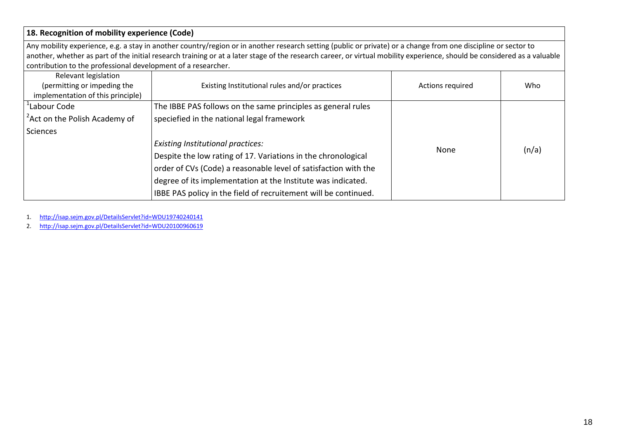# **18. Recognition of mobility experience (Code)**

Any mobility experience, e.g. a stay in another country/region or in another research setting (public or private) or a change from one discipline or sector to another, whether as part of the initial research training or at a later stage of the research career, or virtual mobility experience, should be considered as a valuable contribution to the professional development of a researcher.

| Relevant legislation<br>(permitting or impeding the<br>implementation of this principle) | Existing Institutional rules and/or practices                   | Actions required | Who   |
|------------------------------------------------------------------------------------------|-----------------------------------------------------------------|------------------|-------|
| <sup>1</sup> Labour Code                                                                 | The IBBE PAS follows on the same principles as general rules    |                  |       |
| <sup>2</sup> Act on the Polish Academy of                                                | speciefied in the national legal framework                      |                  |       |
| <b>Sciences</b>                                                                          |                                                                 |                  |       |
|                                                                                          | <b>Existing Institutional practices:</b>                        |                  |       |
|                                                                                          | Despite the low rating of 17. Variations in the chronological   | None             | (n/a) |
|                                                                                          | order of CVs (Code) a reasonable level of satisfaction with the |                  |       |
|                                                                                          | degree of its implementation at the Institute was indicated.    |                  |       |
|                                                                                          | IBBE PAS policy in the field of recruitement will be continued. |                  |       |

1.http://isap.sejm.gov.pl/DetailsServlet?id=WDU19740240141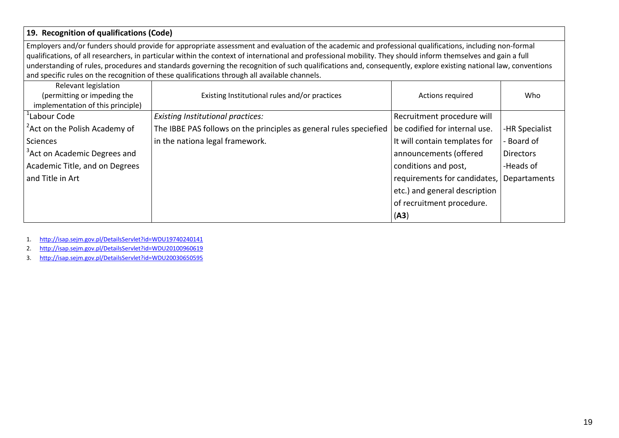# **19. Recognition of qualifications (Code)**

Employers and/or funders should provide for appropriate assessment and evaluation of the academic and professional qualifications, including non-formal qualifications, of all researchers, in particular within the context of international and professional mobility. They should inform themselves and gain a full understanding of rules, procedures and standards governing the recognition of such qualifications and, consequently, explore existing national law, conventionsand specific rules on the recognition of these qualifications through all available channels.

| Relevant legislation<br>(permitting or impeding the<br>implementation of this principle) | Existing Institutional rules and/or practices                                                      | Actions required              | Who              |
|------------------------------------------------------------------------------------------|----------------------------------------------------------------------------------------------------|-------------------------------|------------------|
| Labour Code                                                                              | <b>Existing Institutional practices:</b>                                                           | Recruitment procedure will    |                  |
| <sup>2</sup> Act on the Polish Academy of                                                | The IBBE PAS follows on the principles as general rules speciefied   be codified for internal use. |                               | -HR Specialist   |
| Sciences                                                                                 | in the nationa legal framework.                                                                    | It will contain templates for | - Board of       |
| <sup>3</sup> Act on Academic Degrees and                                                 |                                                                                                    | announcements (offered        | <b>Directors</b> |
| Academic Title, and on Degrees                                                           |                                                                                                    | conditions and post,          | -Heads of        |
| and Title in Art                                                                         |                                                                                                    | requirements for candidates,  | Departaments     |
|                                                                                          |                                                                                                    | etc.) and general description |                  |
|                                                                                          |                                                                                                    | of recruitment procedure.     |                  |
|                                                                                          |                                                                                                    | (A3)                          |                  |

1.http://isap.sejm.gov.pl/DetailsServlet?id=WDU19740240141

http://isap.sejm.gov.pl/DetailsServlet?id=WDU20100960619 2.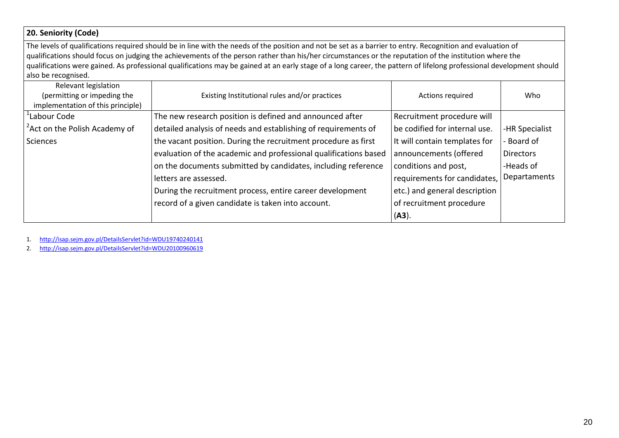# **20. Seniority (Code)**

The levels of qualifications required should be in line with the needs of the position and not be set as a barrier to entry. Recognition and evaluation of qualifications should focus on judging the achievements of the person rather than his/her circumstances or the reputation of the institution where the qualifications were gained. As professional qualifications may be gained at an early stage of a long career, the pattern of lifelong professional development should also be recognised.

| Relevant legislation<br>(permitting or impeding the<br>implementation of this principle) | Existing Institutional rules and/or practices                    | Actions required              | Who              |
|------------------------------------------------------------------------------------------|------------------------------------------------------------------|-------------------------------|------------------|
| Labour Code                                                                              | The new research position is defined and announced after         | Recruitment procedure will    |                  |
| <sup>2</sup> Act on the Polish Academy of                                                | detailed analysis of needs and establishing of requirements of   | be codified for internal use. | -HR Specialist   |
| Sciences                                                                                 | the vacant position. During the recruitment procedure as first   | It will contain templates for | - Board of       |
|                                                                                          | evaluation of the academic and professional qualifications based | announcements (offered        | <b>Directors</b> |
|                                                                                          | on the documents submitted by candidates, including reference    | conditions and post,          | -Heads of        |
|                                                                                          | letters are assessed.                                            | requirements for candidates,  | Departaments     |
|                                                                                          | During the recruitment process, entire career development        | etc.) and general description |                  |
|                                                                                          | record of a given candidate is taken into account.               | of recruitment procedure      |                  |
|                                                                                          |                                                                  | $(A3)$ .                      |                  |

1.http://isap.sejm.gov.pl/DetailsServlet?id=WDU19740240141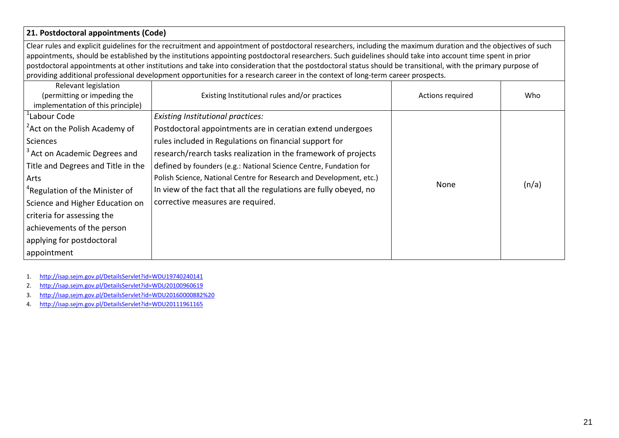# **21. Postdoctoral appointments (Code)**

Clear rules and explicit guidelines for the recruitment and appointment of postdoctoral researchers, including the maximum duration and the objectives of such appointments, should be established by the institutions appointing postdoctoral researchers. Such guidelines should take into account time spent in prior postdoctoral appointments at other institutions and take into consideration that the postdoctoral status should be transitional, with the primary purpose of providing additional professional development opportunities for a research career in the context of long-term career prospects.

| Relevant legislation<br>(permitting or impeding the<br>implementation of this principle)                                                                                                      | Existing Institutional rules and/or practices                                                                                                                                                                                                                                                           | Actions required | Who   |
|-----------------------------------------------------------------------------------------------------------------------------------------------------------------------------------------------|---------------------------------------------------------------------------------------------------------------------------------------------------------------------------------------------------------------------------------------------------------------------------------------------------------|------------------|-------|
| <sup>1</sup> Labour Code<br><sup>2</sup> Act on the Polish Academy of<br>Sciences<br><sup>3</sup> Act on Academic Degrees and<br>Title and Degrees and Title in the                           | <b>Existing Institutional practices:</b><br>Postdoctoral appointments are in ceratian extend undergoes<br>rules included in Regulations on financial support for<br>research/rearch tasks realization in the framework of projects<br>defined by founders (e.g.: National Science Centre, Fundation for |                  |       |
| Arts<br><sup>4</sup> Regulation of the Minister of<br>Science and Higher Education on<br>criteria for assessing the<br>achievements of the person<br>applying for postdoctoral<br>appointment | Polish Science, National Centre for Research and Development, etc.)<br>In view of the fact that all the regulations are fully obeyed, no<br>corrective measures are required.                                                                                                                           | None             | (n/a) |

- 1.http://isap.sejm.gov.pl/DetailsServlet?id=WDU19740240141
- http://isap.sejm.gov.pl/DetailsServlet?id=WDU20100960619 2.
- http://isap.sejm.gov.pl/DetailsServlet?id=WDU20160000882%20 3.
- 4.http://isap.sejm.gov.pl/DetailsServlet?id=WDU20111961165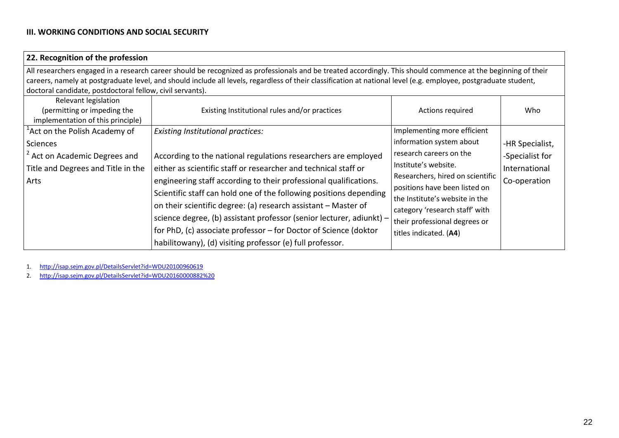# **III. WORKING CONDITIONS AND SOCIAL SECURITY**

| 22. Recognition of the profession                         |                                                                                                                                                                  |                                  |                 |
|-----------------------------------------------------------|------------------------------------------------------------------------------------------------------------------------------------------------------------------|----------------------------------|-----------------|
|                                                           | All researchers engaged in a research career should be recognized as professionals and be treated accordingly. This should commence at the beginning of their    |                                  |                 |
|                                                           | careers, namely at postgraduate level, and should include all levels, regardless of their classification at national level (e.g. employee, postgraduate student, |                                  |                 |
| doctoral candidate, postdoctoral fellow, civil servants). |                                                                                                                                                                  |                                  |                 |
| Relevant legislation                                      |                                                                                                                                                                  |                                  |                 |
| (permitting or impeding the                               | Existing Institutional rules and/or practices                                                                                                                    | Actions required                 | Who             |
| implementation of this principle)                         |                                                                                                                                                                  |                                  |                 |
| <sup>1</sup> Act on the Polish Academy of                 | <b>Existing Institutional practices:</b>                                                                                                                         | Implementing more efficient      |                 |
| Sciences                                                  |                                                                                                                                                                  | information system about         | -HR Specialist, |
| <sup>2</sup> Act on Academic Degrees and                  | According to the national regulations researchers are employed                                                                                                   | research careers on the          | -Specialist for |
| Title and Degrees and Title in the                        | either as scientific staff or researcher and technical staff or                                                                                                  | Institute's website.             | International   |
| Arts                                                      | engineering staff according to their professional qualifications.                                                                                                | Researchers, hired on scientific | Co-operation    |
|                                                           | Scientific staff can hold one of the following positions depending                                                                                               | positions have been listed on    |                 |
|                                                           | on their scientific degree: (a) research assistant - Master of                                                                                                   | the Institute's website in the   |                 |
|                                                           | science degree, (b) assistant professor (senior lecturer, adiunkt) -                                                                                             | category 'research staff' with   |                 |
|                                                           |                                                                                                                                                                  | their professional degrees or    |                 |
|                                                           | for PhD, (c) associate professor - for Doctor of Science (doktor                                                                                                 | titles indicated. (A4)           |                 |
|                                                           | habilitowany), (d) visiting professor (e) full professor.                                                                                                        |                                  |                 |

1. http://isap.sejm.gov.pl/DetailsServlet?id=WDU20100960619

2. http://isap.sejm.gov.pl/DetailsServlet?id=WDU20160000882%20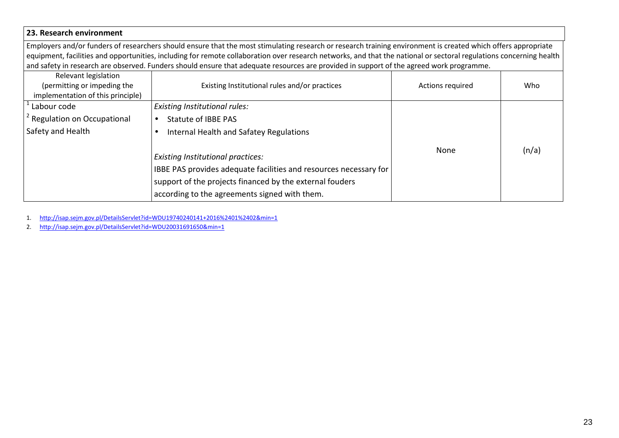#### **23. Research environment**

Employers and/or funders of researchers should ensure that the most stimulating research or research training environment is created which offers appropriate equipment, facilities and opportunities, including for remote collaboration over research networks, and that the national or sectoral regulations concerning health and safety in research are observed. Funders should ensure that adequate resources are provided in support of the agreed work programme.

| Relevant legislation<br>(permitting or impeding the<br>implementation of this principle) | Existing Institutional rules and/or practices                                                                                                                                                                              | Actions required | Who   |
|------------------------------------------------------------------------------------------|----------------------------------------------------------------------------------------------------------------------------------------------------------------------------------------------------------------------------|------------------|-------|
| Labour code                                                                              | Existing Institutional rules:                                                                                                                                                                                              |                  |       |
| <sup>2</sup> Regulation on Occupational                                                  | Statute of IBBE PAS                                                                                                                                                                                                        |                  |       |
| Safety and Health                                                                        | Internal Health and Safatey Regulations                                                                                                                                                                                    |                  |       |
|                                                                                          | <b>Existing Institutional practices:</b><br>IBBE PAS provides adequate facilities and resources necessary for<br>support of the projects financed by the external fouders<br>according to the agreements signed with them. | None             | (n/a) |

1.http://isap.sejm.gov.pl/DetailsServlet?id=WDU19740240141+2016%2401%2402&min=1

2.http://isap.sejm.gov.pl/DetailsServlet?id=WDU20031691650&min=1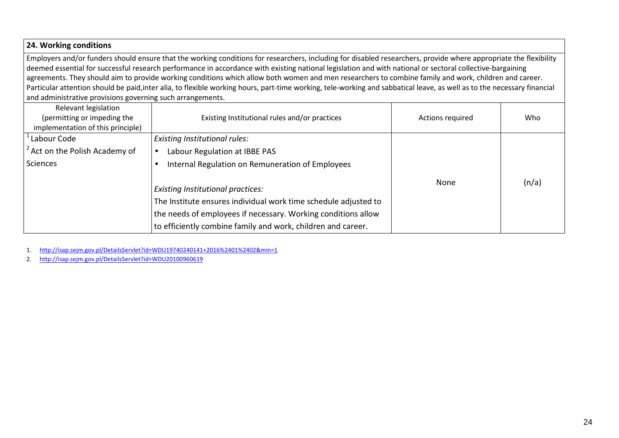#### **24. Working conditions**

Employers and/or funders should ensure that the working conditions for researchers, including for disabled researchers, provide where appropriate the flexibility deemed essential for successful research performance in accordance with existing national legislation and with national or sectoral collective-bargaining agreements. They should aim to provide working conditions which allow both women and men researchers to combine family and work, children and career. Particular attention should be paid,inter alia, to flexible working hours, part-time working, tele-working and sabbatical leave, as well as to the necessary financial and administrative provisions governing such arrangements.

| Relevant legislation<br>(permitting or impeding the<br>implementation of this principle) | Existing Institutional rules and/or practices                                                                                                                                                                                                | Actions required | Who   |
|------------------------------------------------------------------------------------------|----------------------------------------------------------------------------------------------------------------------------------------------------------------------------------------------------------------------------------------------|------------------|-------|
| Labour Code                                                                              | <b>Existing Institutional rules:</b>                                                                                                                                                                                                         |                  |       |
| <sup>2</sup> Act on the Polish Academy of                                                | Labour Regulation at IBBE PAS                                                                                                                                                                                                                |                  |       |
| Sciences                                                                                 | Internal Regulation on Remuneration of Employees                                                                                                                                                                                             |                  |       |
|                                                                                          | <b>Existing Institutional practices:</b><br>The Institute ensures individual work time schedule adjusted to<br>the needs of employees if necessary. Working conditions allow<br>to efficiently combine family and work, children and career. | None             | (n/a) |

1.http://isap.sejm.gov.pl/DetailsServlet?id=WDU19740240141+2016%2401%2402&min=1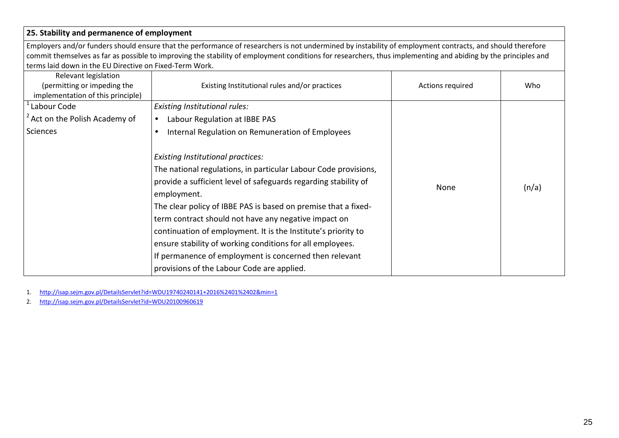## **25. Stability and permanence of employment**

Employers and/or funders should ensure that the performance of researchers is not undermined by instability of employment contracts, and should therefore commit themselves as far as possible to improving the stability of employment conditions for researchers, thus implementing and abiding by the principles and terms laid down in the EU Directive on Fixed-Term Work.

| Relevant legislation<br>(permitting or impeding the<br>implementation of this principle) | Existing Institutional rules and/or practices                                                                                                                                                                                                                                                                                                                                                                                                                                                                                                                 | Actions required | Who   |
|------------------------------------------------------------------------------------------|---------------------------------------------------------------------------------------------------------------------------------------------------------------------------------------------------------------------------------------------------------------------------------------------------------------------------------------------------------------------------------------------------------------------------------------------------------------------------------------------------------------------------------------------------------------|------------------|-------|
| Labour Code                                                                              | Existing Institutional rules:                                                                                                                                                                                                                                                                                                                                                                                                                                                                                                                                 |                  |       |
| Act on the Polish Academy of                                                             | Labour Regulation at IBBE PAS<br>$\bullet$                                                                                                                                                                                                                                                                                                                                                                                                                                                                                                                    |                  |       |
| Sciences                                                                                 | Internal Regulation on Remuneration of Employees                                                                                                                                                                                                                                                                                                                                                                                                                                                                                                              |                  |       |
|                                                                                          | <b>Existing Institutional practices:</b><br>The national regulations, in particular Labour Code provisions,<br>provide a sufficient level of safeguards regarding stability of<br>employment.<br>The clear policy of IBBE PAS is based on premise that a fixed-<br>term contract should not have any negative impact on<br>continuation of employment. It is the Institute's priority to<br>ensure stability of working conditions for all employees.<br>If permanence of employment is concerned then relevant<br>provisions of the Labour Code are applied. | None             | (n/a) |

1.http://isap.sejm.gov.pl/DetailsServlet?id=WDU19740240141+2016%2401%2402&min=1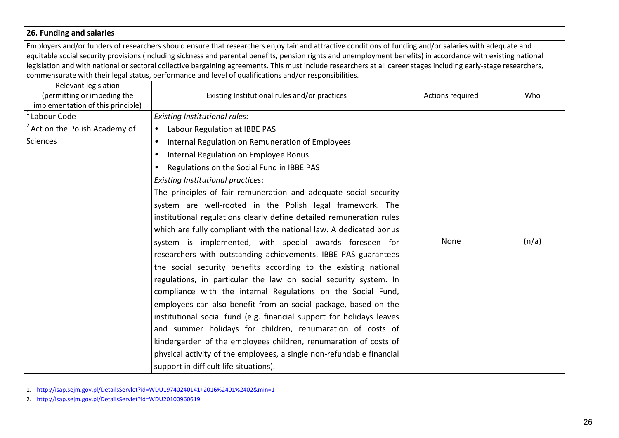# **26. Funding and salaries**

Employers and/or funders of researchers should ensure that researchers enjoy fair and attractive conditions of funding and/or salaries with adequate and equitable social security provisions (including sickness and parental benefits, pension rights and unemployment benefits) in accordance with existing national legislation and with national or sectoral collective bargaining agreements. This must include researchers at all career stages including early-stage researchers, commensurate with their legal status, performance and level of qualifications and/or responsibilities.

| Relevant legislation<br>(permitting or impeding the<br>implementation of this principle) | Existing Institutional rules and/or practices                         | Actions required | Who   |
|------------------------------------------------------------------------------------------|-----------------------------------------------------------------------|------------------|-------|
| Labour Code                                                                              | <b>Existing Institutional rules:</b>                                  |                  |       |
| <sup>2</sup> Act on the Polish Academy of                                                | Labour Regulation at IBBE PAS                                         |                  |       |
| <b>Sciences</b>                                                                          | Internal Regulation on Remuneration of Employees<br>$\bullet$         |                  |       |
|                                                                                          | Internal Regulation on Employee Bonus                                 |                  |       |
|                                                                                          | Regulations on the Social Fund in IBBE PAS                            |                  |       |
|                                                                                          | <b>Existing Institutional practices:</b>                              |                  |       |
|                                                                                          | The principles of fair remuneration and adequate social security      |                  |       |
|                                                                                          | system are well-rooted in the Polish legal framework. The             |                  |       |
|                                                                                          | institutional regulations clearly define detailed remuneration rules  |                  |       |
|                                                                                          | which are fully compliant with the national law. A dedicated bonus    |                  |       |
|                                                                                          | system is implemented, with special awards foreseen for               | None             | (n/a) |
|                                                                                          | researchers with outstanding achievements. IBBE PAS guarantees        |                  |       |
|                                                                                          | the social security benefits according to the existing national       |                  |       |
|                                                                                          | regulations, in particular the law on social security system. In      |                  |       |
|                                                                                          | compliance with the internal Regulations on the Social Fund,          |                  |       |
|                                                                                          | employees can also benefit from an social package, based on the       |                  |       |
|                                                                                          | institutional social fund (e.g. financial support for holidays leaves |                  |       |
|                                                                                          | and summer holidays for children, renumaration of costs of            |                  |       |
|                                                                                          | kindergarden of the employees children, renumaration of costs of      |                  |       |
|                                                                                          | physical activity of the employees, a single non-refundable financial |                  |       |
|                                                                                          | support in difficult life situations).                                |                  |       |

1. http://isap.sejm.gov.pl/DetailsServlet?id=WDU19740240141+2016%2401%2402&min=1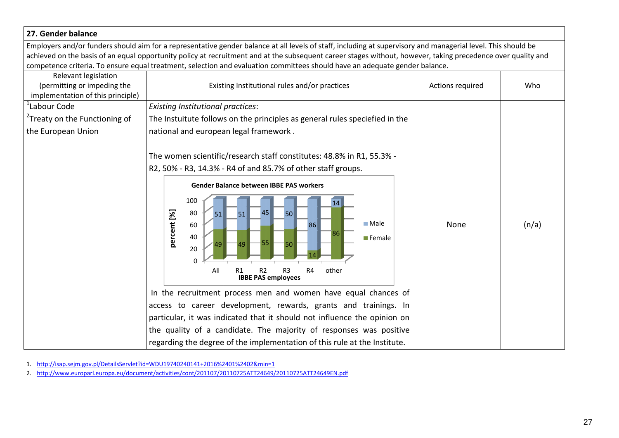# **27. Gender balance**

Employers and/or funders should aim for a representative gender balance at all levels of staff, including at supervisory and managerial level. This should be achieved on the basis of an equal opportunity policy at recruitment and at the subsequent career stages without, however, taking precedence over quality and I ding at supervisory and managerial level. This should be<br>tages without, however, taking precedence over quality and<br>an adequate gender balance.<br>Actions required Who

|                                                                                          | competence criteria. To ensure equal treatment, selection and evaluation committees should have an adequate gender balance.                                                                                                                                                                                                                                                                                                                                                                                                                                                                                                                                                                                                                                                                                                  |                  |       |
|------------------------------------------------------------------------------------------|------------------------------------------------------------------------------------------------------------------------------------------------------------------------------------------------------------------------------------------------------------------------------------------------------------------------------------------------------------------------------------------------------------------------------------------------------------------------------------------------------------------------------------------------------------------------------------------------------------------------------------------------------------------------------------------------------------------------------------------------------------------------------------------------------------------------------|------------------|-------|
| Relevant legislation<br>(permitting or impeding the<br>implementation of this principle) | Existing Institutional rules and/or practices                                                                                                                                                                                                                                                                                                                                                                                                                                                                                                                                                                                                                                                                                                                                                                                | Actions required | Who   |
| <sup>1</sup> Labour Code                                                                 | <b>Existing Institutional practices:</b>                                                                                                                                                                                                                                                                                                                                                                                                                                                                                                                                                                                                                                                                                                                                                                                     |                  |       |
| <sup>2</sup> Treaty on the Functioning of                                                | The Instuitute follows on the principles as general rules speciefied in the                                                                                                                                                                                                                                                                                                                                                                                                                                                                                                                                                                                                                                                                                                                                                  |                  |       |
| the European Union                                                                       | national and european legal framework.                                                                                                                                                                                                                                                                                                                                                                                                                                                                                                                                                                                                                                                                                                                                                                                       |                  |       |
|                                                                                          | The women scientific/research staff constitutes: 48.8% in R1, 55.3% -<br>R2, 50% - R3, 14.3% - R4 of and 85.7% of other staff groups.<br><b>Gender Balance between IBBE PAS workers</b><br>100<br>14<br>percent [%]<br>80<br>45<br>50<br>51<br>51<br>$\blacksquare$ Male<br>60<br>86<br>86<br>40<br><b>Female</b><br>49<br>50<br>20<br>$\Omega$<br>R <sub>2</sub><br>R4<br>other<br>All<br>R <sub>1</sub><br>R <sub>3</sub><br><b>IBBE PAS employees</b><br>In the recruitment process men and women have equal chances of<br>access to career development, rewards, grants and trainings. In<br>particular, it was indicated that it should not influence the opinion on<br>the quality of a candidate. The majority of responses was positive<br>regarding the degree of the implementation of this rule at the Institute. | None             | (n/a) |
|                                                                                          |                                                                                                                                                                                                                                                                                                                                                                                                                                                                                                                                                                                                                                                                                                                                                                                                                              |                  |       |
|                                                                                          | l. http://isap.sejm.gov.pl/DetailsServlet?id=WDU19740240141+2016%2401%2402&min=1                                                                                                                                                                                                                                                                                                                                                                                                                                                                                                                                                                                                                                                                                                                                             |                  |       |
|                                                                                          | 2. http://www.europarl.europa.eu/document/activities/cont/201107/20110725ATT24649/20110725ATT24649EN.pdf                                                                                                                                                                                                                                                                                                                                                                                                                                                                                                                                                                                                                                                                                                                     |                  |       |

2. http://www.europarl.europa.eu/document/activities/cont/201107/20110725ATT24649/20110725ATT24649EN.pdf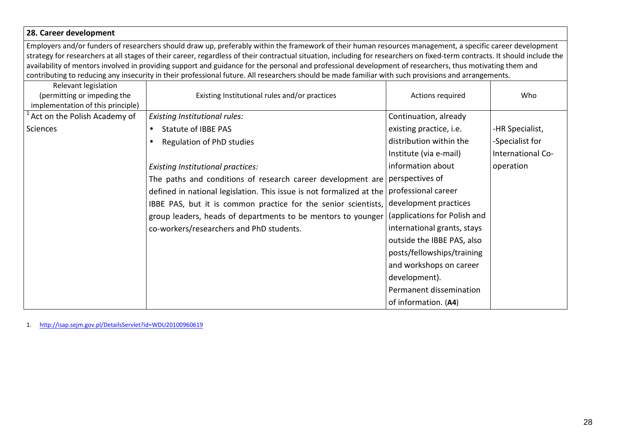#### **28. Career development**

Employers and/or funders of researchers should draw up, preferably within the framework of their human resources management, a specific career development strategy for researchers at all stages of their career, regardless of their contractual situation, including for researchers on fixed-term contracts. It should include the availability of mentors involved in providing support and guidance for the personal and professional development of researchers, thus motivating them and contributing to reducing any insecurity in their professional future. All researchers should be made familiar with such provisions and arrangements.

| Relevant legislation<br>(permitting or impeding the<br>implementation of this principle) | Existing Institutional rules and/or practices                        | Actions required             | Who               |
|------------------------------------------------------------------------------------------|----------------------------------------------------------------------|------------------------------|-------------------|
| Act on the Polish Academy of                                                             | <b>Existing Institutional rules:</b>                                 | Continuation, already        |                   |
| Sciences                                                                                 | Statute of IBBE PAS<br>$\bullet$                                     | existing practice, i.e.      | -HR Specialist,   |
|                                                                                          | Regulation of PhD studies<br>$\bullet$                               | distribution within the      | -Specialist for   |
|                                                                                          |                                                                      | Institute (via e-mail)       | International Co- |
|                                                                                          | <b>Existing Institutional practices:</b>                             | information about            | operation         |
|                                                                                          | The paths and conditions of research career development are          | perspectives of              |                   |
|                                                                                          | defined in national legislation. This issue is not formalized at the | professional career          |                   |
|                                                                                          | IBBE PAS, but it is common practice for the senior scientists,       | development practices        |                   |
|                                                                                          | group leaders, heads of departments to be mentors to younger         | (applications for Polish and |                   |
|                                                                                          | co-workers/researchers and PhD students.                             | international grants, stays  |                   |
|                                                                                          |                                                                      | outside the IBBE PAS, also   |                   |
|                                                                                          |                                                                      | posts/fellowships/training   |                   |
|                                                                                          |                                                                      | and workshops on career      |                   |
|                                                                                          |                                                                      | development).                |                   |
|                                                                                          |                                                                      | Permanent dissemination      |                   |
|                                                                                          |                                                                      | of information. (A4)         |                   |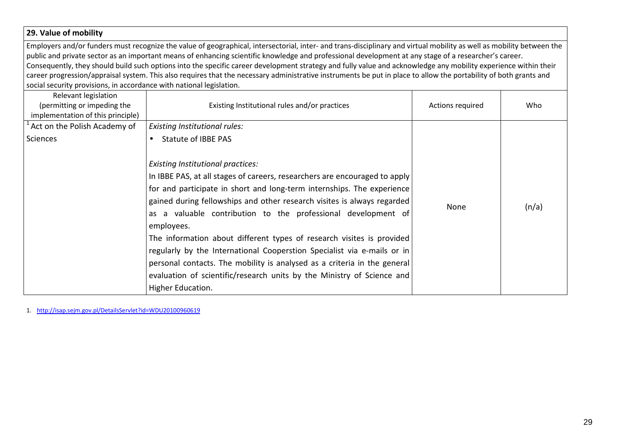# **29. Value of mobility** Employers and/or funders must recognize the value of geographical, intersectorial, inter- and trans-disciplinary and virtual mobility as well as mobility between the public and private sector as an important means of enhancing scientific knowledge and professional development at any stage of a researcher's career. Consequently, they should build such options into the specific career development strategy and fully value and acknowledge any mobility experience within their career progression/appraisal system. This also requires that the necessary administrative instruments be put in place to allow the portability of both grants and social security provisions, in accordance with national legislation. Relevant legislation (permitting or impeding the implementation of this principle) Existing Institutional rules and/or practices and Actions required Number 2011 Who  $1$ Act on the Polish Academy of Sciences *Existing Institutional rules:* • Statute of IBBE PAS *Existing Institutional practices:* In IBBE PAS, at all stages of careers, researchers are encouraged to apply for and participate in short and long-term internships. The experience gained during fellowships and other research visites is always regarded as a valuable contribution to the professional development of employees. The information about different types of research visites is provided regularly by the International Cooperstion Specialist via e-mails or in personal contacts. The mobility is analysed as a criteria in the general evaluation of scientific/research units by the Ministry of Science and Higher Education. None  $\ln/a$ )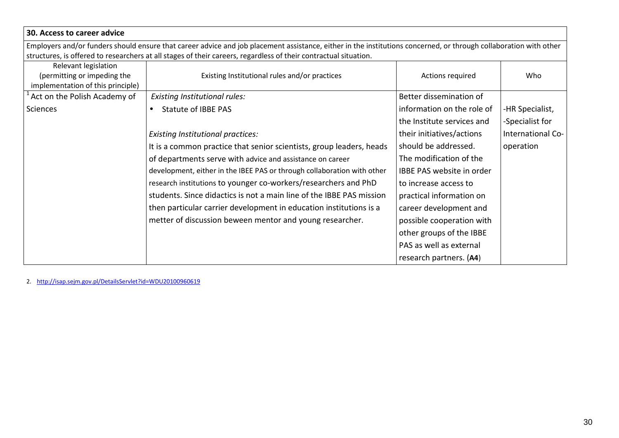| 30. Access to career advice                                                              |                                                                                                                                                                                                                                                                                       |                            |                   |
|------------------------------------------------------------------------------------------|---------------------------------------------------------------------------------------------------------------------------------------------------------------------------------------------------------------------------------------------------------------------------------------|----------------------------|-------------------|
|                                                                                          | Employers and/or funders should ensure that career advice and job placement assistance, either in the institutions concerned, or through collaboration with other<br>structures, is offered to researchers at all stages of their careers, regardless of their contractual situation. |                            |                   |
| Relevant legislation<br>(permitting or impeding the<br>implementation of this principle) | Existing Institutional rules and/or practices                                                                                                                                                                                                                                         | Actions required           | Who               |
| Act on the Polish Academy of                                                             | <b>Existing Institutional rules:</b>                                                                                                                                                                                                                                                  | Better dissemination of    |                   |
| Sciences                                                                                 | <b>Statute of IBBE PAS</b><br>$\bullet$                                                                                                                                                                                                                                               | information on the role of | -HR Specialist,   |
|                                                                                          |                                                                                                                                                                                                                                                                                       | the Institute services and | -Specialist for   |
|                                                                                          | <b>Existing Institutional practices:</b>                                                                                                                                                                                                                                              | their initiatives/actions  | International Co- |
|                                                                                          | It is a common practice that senior scientists, group leaders, heads                                                                                                                                                                                                                  | should be addressed.       | operation         |
|                                                                                          | of departments serve with advice and assistance on career                                                                                                                                                                                                                             | The modification of the    |                   |
|                                                                                          | development, either in the IBEE PAS or through collaboration with other                                                                                                                                                                                                               | IBBE PAS website in order  |                   |
|                                                                                          | research institutions to younger co-workers/researchers and PhD                                                                                                                                                                                                                       | to increase access to      |                   |
|                                                                                          | students. Since didactics is not a main line of the IBBE PAS mission                                                                                                                                                                                                                  | practical information on   |                   |
|                                                                                          | then particular carrier development in education institutions is a                                                                                                                                                                                                                    | career development and     |                   |
|                                                                                          | metter of discussion beween mentor and young researcher.                                                                                                                                                                                                                              | possible cooperation with  |                   |
|                                                                                          |                                                                                                                                                                                                                                                                                       | other groups of the IBBE   |                   |
|                                                                                          |                                                                                                                                                                                                                                                                                       | PAS as well as external    |                   |
|                                                                                          |                                                                                                                                                                                                                                                                                       | research partners. (A4)    |                   |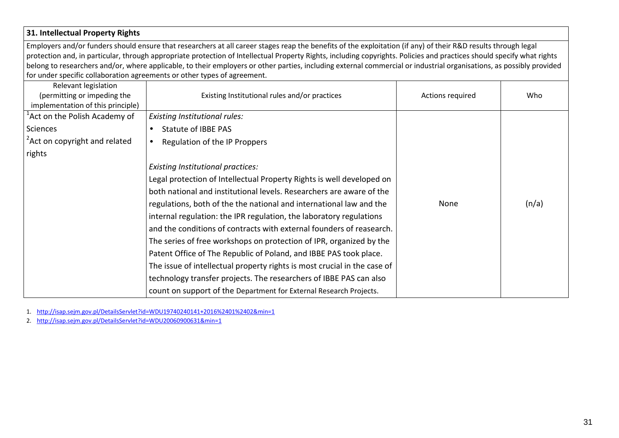# **31. Intellectual Property Rights**

Employers and/or funders should ensure that researchers at all career stages reap the benefits of the exploitation (if any) of their R&D results through legal protection and, in particular, through appropriate protection of Intellectual Property Rights, including copyrights. Policies and practices should specify what rights belong to researchers and/or, where applicable, to their employers or other parties, including external commercial or industrial organisations, as possibly provided for under specific collaboration agreements or other types of agreement.

| Relevant legislation<br>(permitting or impeding the<br>implementation of this principle) | Existing Institutional rules and/or practices                            | Actions required | Who   |
|------------------------------------------------------------------------------------------|--------------------------------------------------------------------------|------------------|-------|
| <sup>1</sup> Act on the Polish Academy of                                                | Existing Institutional rules:                                            |                  |       |
| Sciences                                                                                 | <b>Statute of IBBE PAS</b><br>$\bullet$                                  |                  |       |
| <sup>2</sup> Act on copyright and related                                                | Regulation of the IP Proppers<br>$\bullet$                               |                  |       |
| rights                                                                                   |                                                                          |                  |       |
|                                                                                          | <b>Existing Institutional practices:</b>                                 |                  |       |
|                                                                                          | Legal protection of Intellectual Property Rights is well developed on    |                  |       |
|                                                                                          | both national and institutional levels. Researchers are aware of the     |                  |       |
|                                                                                          | regulations, both of the the national and international law and the      | None             | (n/a) |
|                                                                                          | internal regulation: the IPR regulation, the laboratory regulations      |                  |       |
|                                                                                          | and the conditions of contracts with external founders of reasearch.     |                  |       |
|                                                                                          | The series of free workshops on protection of IPR, organized by the      |                  |       |
|                                                                                          | Patent Office of The Republic of Poland, and IBBE PAS took place.        |                  |       |
|                                                                                          | The issue of intellectual property rights is most crucial in the case of |                  |       |
|                                                                                          | technology transfer projects. The researchers of IBBE PAS can also       |                  |       |
|                                                                                          | count on support of the Department for External Research Projects.       |                  |       |

1. http://isap.sejm.gov.pl/DetailsServlet?id=WDU19740240141+2016%2401%2402&min=1

2. http://isap.sejm.gov.pl/DetailsServlet?id=WDU20060900631&min=1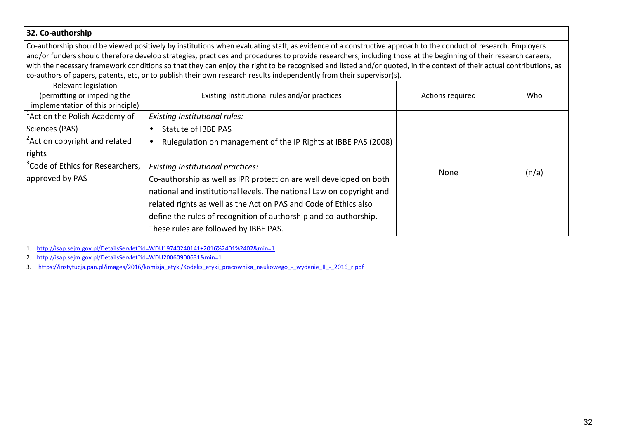#### **32. Co-authorship**

Co-authorship should be viewed positively by institutions when evaluating staff, as evidence of a constructive approach to the conduct of research. Employers and/or funders should therefore develop strategies, practices and procedures to provide researchers, including those at the beginning of their research careers, with the necessary framework conditions so that they can enjoy the right to be recognised and listed and/or quoted, in the context of their actual contributions, as co-authors of papers, patents, etc, or to publish their own research results independently from their supervisor(s).

| Relevant legislation                         |                                                                      |                  |       |
|----------------------------------------------|----------------------------------------------------------------------|------------------|-------|
| (permitting or impeding the                  | Existing Institutional rules and/or practices                        | Actions required | Who   |
| implementation of this principle)            |                                                                      |                  |       |
| <sup>1</sup> Act on the Polish Academy of    | <b>Existing Institutional rules:</b>                                 |                  |       |
| Sciences (PAS)                               | <b>Statute of IBBE PAS</b>                                           |                  |       |
| $\frac{1}{2}$ Act on copyright and related   | Rulegulation on management of the IP Rights at IBBE PAS (2008)       |                  |       |
| rights                                       |                                                                      |                  |       |
| <sup>3</sup> Code of Ethics for Researchers, | <b>Existing Institutional practices:</b>                             | None             |       |
| approved by PAS                              | Co-authorship as well as IPR protection are well developed on both   |                  | (n/a) |
|                                              | national and institutional levels. The national Law on copyright and |                  |       |
|                                              | related rights as well as the Act on PAS and Code of Ethics also     |                  |       |
|                                              | define the rules of recognition of authorship and co-authorship.     |                  |       |
|                                              | These rules are followed by IBBE PAS.                                |                  |       |

1. http://isap.sejm.gov.pl/DetailsServlet?id=WDU19740240141+2016%2401%2402&min=1

2. http://isap.sejm.gov.pl/DetailsServlet?id=WDU20060900631&min=1

3. https://instytucja.pan.pl/images/2016/komisja\_etyki/Kodeks\_etyki\_pracownika\_naukowego\_-\_wydanie\_II\_-\_2016\_r.pdf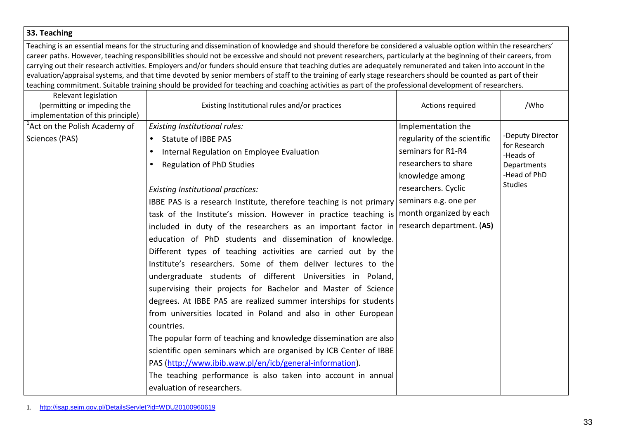#### **33. Teaching**

Teaching is an essential means for the structuring and dissemination of knowledge and should therefore be considered a valuable option within the researchers' career paths. However, teaching responsibilities should not be excessive and should not prevent researchers, particularly at the beginning of their careers, from carrying out their research activities. Employers and/or funders should ensure that teaching duties are adequately remunerated and taken into account in the evaluation/appraisal systems, and that time devoted by senior members of staff to the training of early stage researchers should be counted as part of their teaching commitment. Suitable training should be provided for teaching and coaching activities as part of the professional development of researchers.

| Relevant legislation<br>(permitting or impeding the<br>implementation of this principle) | Existing Institutional rules and/or practices                       | Actions required             | /Who                      |
|------------------------------------------------------------------------------------------|---------------------------------------------------------------------|------------------------------|---------------------------|
| <sup>1</sup> Act on the Polish Academy of                                                | <b>Existing Institutional rules:</b>                                | Implementation the           |                           |
| Sciences (PAS)                                                                           | <b>Statute of IBBE PAS</b>                                          | regularity of the scientific | -Deputy Director          |
|                                                                                          | Internal Regulation on Employee Evaluation<br>$\bullet$             | seminars for R1-R4           | for Research<br>-Heads of |
|                                                                                          | <b>Regulation of PhD Studies</b><br>$\bullet$                       | researchers to share         | Departments               |
|                                                                                          |                                                                     | knowledge among              | -Head of PhD              |
|                                                                                          | <b>Existing Institutional practices:</b>                            | researchers. Cyclic          | <b>Studies</b>            |
|                                                                                          | IBBE PAS is a research Institute, therefore teaching is not primary | seminars e.g. one per        |                           |
|                                                                                          | task of the Institute's mission. However in practice teaching is    | month organized by each      |                           |
|                                                                                          | included in duty of the researchers as an important factor in       | research department. (A5)    |                           |
|                                                                                          | education of PhD students and dissemination of knowledge.           |                              |                           |
|                                                                                          | Different types of teaching activities are carried out by the       |                              |                           |
|                                                                                          | Institute's researchers. Some of them deliver lectures to the       |                              |                           |
|                                                                                          | undergraduate students of different Universities in Poland,         |                              |                           |
|                                                                                          | supervising their projects for Bachelor and Master of Science       |                              |                           |
|                                                                                          | degrees. At IBBE PAS are realized summer interships for students    |                              |                           |
|                                                                                          | from universities located in Poland and also in other European      |                              |                           |
|                                                                                          | countries.                                                          |                              |                           |
|                                                                                          | The popular form of teaching and knowledge dissemination are also   |                              |                           |
|                                                                                          | scientific open seminars which are organised by ICB Center of IBBE  |                              |                           |
|                                                                                          | PAS (http://www.ibib.waw.pl/en/icb/general-information).            |                              |                           |
|                                                                                          | The teaching performance is also taken into account in annual       |                              |                           |
|                                                                                          | evaluation of researchers.                                          |                              |                           |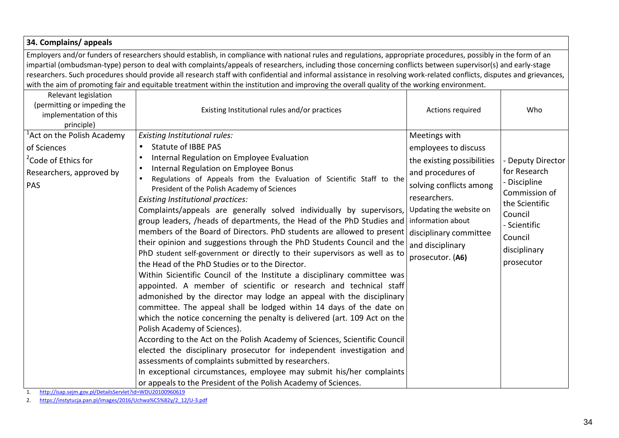| 34. Complains/appeals                                                                                                       |                                                                                                                                                                                                                                                                                                                                                                                                                                                                                                                                                                                                                                                                                                                                                                                                                                                                                                                                                                                                                                                                                                                                                                                                                                                                                                                                                                                                                                                                              |                                                                                                                                                                                                                                                       |                                                                                                                                                        |  |  |
|-----------------------------------------------------------------------------------------------------------------------------|------------------------------------------------------------------------------------------------------------------------------------------------------------------------------------------------------------------------------------------------------------------------------------------------------------------------------------------------------------------------------------------------------------------------------------------------------------------------------------------------------------------------------------------------------------------------------------------------------------------------------------------------------------------------------------------------------------------------------------------------------------------------------------------------------------------------------------------------------------------------------------------------------------------------------------------------------------------------------------------------------------------------------------------------------------------------------------------------------------------------------------------------------------------------------------------------------------------------------------------------------------------------------------------------------------------------------------------------------------------------------------------------------------------------------------------------------------------------------|-------------------------------------------------------------------------------------------------------------------------------------------------------------------------------------------------------------------------------------------------------|--------------------------------------------------------------------------------------------------------------------------------------------------------|--|--|
|                                                                                                                             | Employers and/or funders of researchers should establish, in compliance with national rules and regulations, appropriate procedures, possibly in the form of an<br>impartial (ombudsman-type) person to deal with complaints/appeals of researchers, including those concerning conflicts between supervisor(s) and early-stage<br>researchers. Such procedures should provide all research staff with confidential and informal assistance in resolving work-related conflicts, disputes and grievances,<br>with the aim of promoting fair and equitable treatment within the institution and improving the overall quality of the working environment.                                                                                                                                                                                                                                                                                                                                                                                                                                                                                                                                                                                                                                                                                                                                                                                                                     |                                                                                                                                                                                                                                                       |                                                                                                                                                        |  |  |
| Relevant legislation<br>(permitting or impeding the<br>implementation of this<br>principle)                                 | Existing Institutional rules and/or practices                                                                                                                                                                                                                                                                                                                                                                                                                                                                                                                                                                                                                                                                                                                                                                                                                                                                                                                                                                                                                                                                                                                                                                                                                                                                                                                                                                                                                                | Actions required                                                                                                                                                                                                                                      | Who                                                                                                                                                    |  |  |
| <sup>'</sup> Act on the Polish Academy<br>of Sciences<br><sup>2</sup> Code of Ethics for<br>Researchers, approved by<br>PAS | <b>Existing Institutional rules:</b><br><b>Statute of IBBE PAS</b><br>$\bullet$<br>Internal Regulation on Employee Evaluation<br>Internal Regulation on Employee Bonus<br>Regulations of Appeals from the Evaluation of Scientific Staff to the<br>President of the Polish Academy of Sciences<br>Existing Institutional practices:<br>Complaints/appeals are generally solved individually by supervisors,<br>group leaders, /heads of departments, the Head of the PhD Studies and<br>members of the Board of Directors. PhD students are allowed to present<br>their opinion and suggestions through the PhD Students Council and the<br>PhD student self-government or directly to their supervisors as well as to<br>the Head of the PhD Studies or to the Director.<br>Within Sicientific Council of the Institute a disciplinary committee was<br>appointed. A member of scientific or research and technical staff<br>admonished by the director may lodge an appeal with the disciplinary<br>committee. The appeal shall be lodged within 14 days of the date on<br>which the notice concerning the penalty is delivered (art. 109 Act on the<br>Polish Academy of Sciences).<br>According to the Act on the Polish Academy of Sciences, Scientific Council<br>elected the disciplinary prosecutor for independent investigation and<br>assessments of complaints submitted by researchers.<br>In exceptional circumstances, employee may submit his/her complaints | Meetings with<br>employees to discuss<br>the existing possibilities<br>and procedures of<br>solving conflicts among<br>researchers.<br>Updating the website on<br>information about<br>disciplinary committee<br>and disciplinary<br>prosecutor. (A6) | Deputy Director<br>for Research<br>- Discipline<br>Commission of<br>the Scientific<br>Council<br>- Scientific<br>Council<br>disciplinary<br>prosecutor |  |  |
|                                                                                                                             | or appeals to the President of the Polish Academy of Sciences.                                                                                                                                                                                                                                                                                                                                                                                                                                                                                                                                                                                                                                                                                                                                                                                                                                                                                                                                                                                                                                                                                                                                                                                                                                                                                                                                                                                                               |                                                                                                                                                                                                                                                       |                                                                                                                                                        |  |  |

1. http://isap.sejm.gov.pl/DetailsServlet?id=WDU20100960619

2. https://instytucja.pan.pl/images/2016/Uchwa%C5%82y/2\_12/U-3.pdf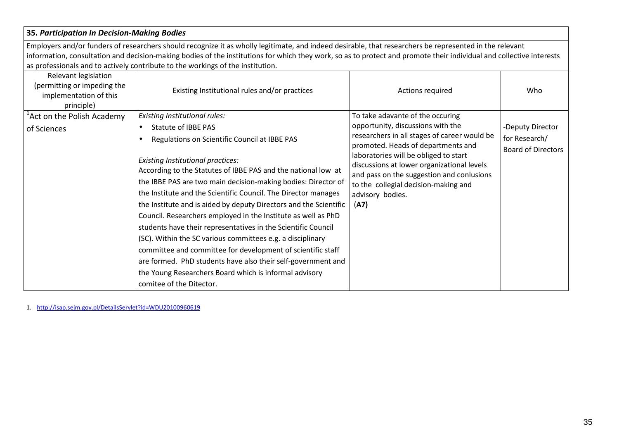#### **35.** *Participation In Decision-Making Bodies*

Employers and/or funders of researchers should recognize it as wholly legitimate, and indeed desirable, that researchers be represented in the relevant information, consultation and decision-making bodies of the institutions for which they work, so as to protect and promote their individual and collective interests as professionals and to actively contribute to the workings of the institution.

| Relevant legislation<br>(permitting or impeding the<br>implementation of this<br>principle) | Existing Institutional rules and/or practices                                                                                                                                                                                                                                                                                                                                                                                                                                                                                                                                                                                           | Actions required                                                                                                                                                                                                                                                                                                                                                    | Who                                                            |
|---------------------------------------------------------------------------------------------|-----------------------------------------------------------------------------------------------------------------------------------------------------------------------------------------------------------------------------------------------------------------------------------------------------------------------------------------------------------------------------------------------------------------------------------------------------------------------------------------------------------------------------------------------------------------------------------------------------------------------------------------|---------------------------------------------------------------------------------------------------------------------------------------------------------------------------------------------------------------------------------------------------------------------------------------------------------------------------------------------------------------------|----------------------------------------------------------------|
| <sup>1</sup> Act on the Polish Academy<br>of Sciences                                       | Existing Institutional rules:<br>Statute of IBBE PAS<br>$\bullet$<br>Regulations on Scientific Council at IBBE PAS<br><b>Existing Institutional practices:</b><br>According to the Statutes of IBBE PAS and the national low at<br>the IBBE PAS are two main decision-making bodies: Director of<br>the Institute and the Scientific Council. The Director manages<br>the Institute and is aided by deputy Directors and the Scientific<br>Council. Researchers employed in the Institute as well as PhD<br>students have their representatives in the Scientific Council<br>(SC). Within the SC various committees e.g. a disciplinary | To take adavante of the occuring<br>opportunity, discussions with the<br>researchers in all stages of career would be<br>promoted. Heads of departments and<br>laboratories will be obliged to start<br>discussions at lower organizational levels<br>and pass on the suggestion and conlusions<br>to the collegial decision-making and<br>advisory bodies.<br>(A7) | -Deputy Director<br>for Research/<br><b>Board of Directors</b> |
|                                                                                             | committee and committee for development of scientific staff<br>are formed. PhD students have also their self-government and<br>the Young Researchers Board which is informal advisory<br>comitee of the Ditector.                                                                                                                                                                                                                                                                                                                                                                                                                       |                                                                                                                                                                                                                                                                                                                                                                     |                                                                |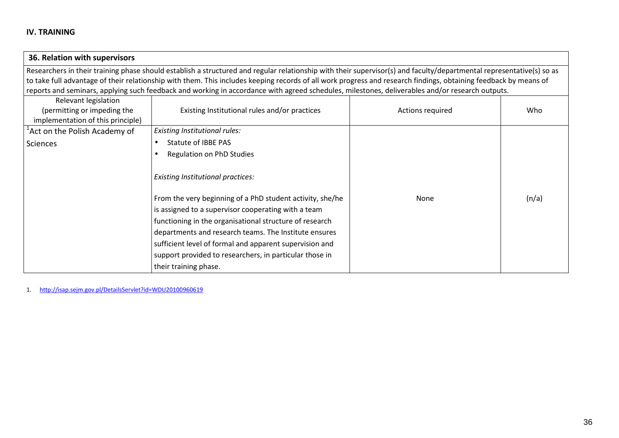| 36. Relation with supervisors                                    |                                                                                                                                                                      |                  |       |
|------------------------------------------------------------------|----------------------------------------------------------------------------------------------------------------------------------------------------------------------|------------------|-------|
|                                                                  | Researchers in their training phase should establish a structured and regular relationship with their supervisor(s) and faculty/departmental representative(s) so as |                  |       |
|                                                                  | to take full advantage of their relationship with them. This includes keeping records of all work progress and research findings, obtaining feedback by means of     |                  |       |
|                                                                  | reports and seminars, applying such feedback and working in accordance with agreed schedules, milestones, deliverables and/or research outputs.                      |                  |       |
| Relevant legislation                                             |                                                                                                                                                                      |                  |       |
| (permitting or impeding the<br>implementation of this principle) | Existing Institutional rules and/or practices                                                                                                                        | Actions required | Who   |
| <sup>1</sup> Act on the Polish Academy of                        | <b>Existing Institutional rules:</b>                                                                                                                                 |                  |       |
| <b>Sciences</b>                                                  | Statute of IBBE PAS                                                                                                                                                  |                  |       |
|                                                                  | Regulation on PhD Studies                                                                                                                                            |                  |       |
|                                                                  | <b>Existing Institutional practices:</b>                                                                                                                             |                  |       |
|                                                                  | From the very beginning of a PhD student activity, she/he                                                                                                            | None             | (n/a) |
|                                                                  | is assigned to a supervisor cooperating with a team                                                                                                                  |                  |       |
|                                                                  | functioning in the organisational structure of research                                                                                                              |                  |       |
|                                                                  | departments and research teams. The Institute ensures                                                                                                                |                  |       |
|                                                                  | sufficient level of formal and apparent supervision and                                                                                                              |                  |       |
|                                                                  | support provided to researchers, in particular those in                                                                                                              |                  |       |
|                                                                  | their training phase.                                                                                                                                                |                  |       |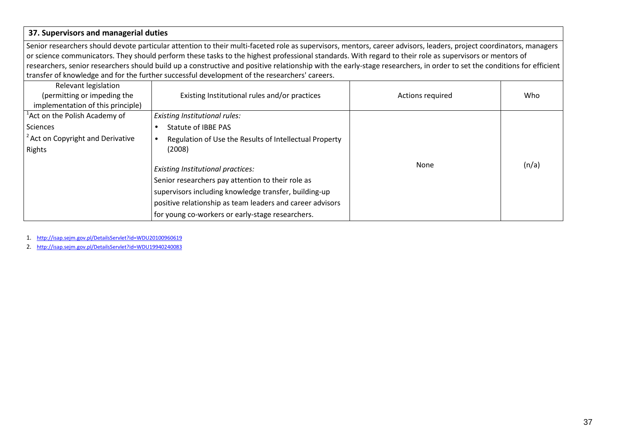#### **37. Supervisors and managerial duties**

Senior researchers should devote particular attention to their multi-faceted role as supervisors, mentors, career advisors, leaders, project coordinators, managers or science communicators. They should perform these tasks to the highest professional standards. With regard to their role as supervisors or mentors of researchers, senior researchers should build up a constructive and positive relationship with the early-stage researchers, in order to set the conditions for efficient transfer of knowledge and for the further successful development of the researchers' careers.

| Relevant legislation<br>(permitting or impeding the<br>implementation of this principle) | Existing Institutional rules and/or practices             | Actions required | Who   |
|------------------------------------------------------------------------------------------|-----------------------------------------------------------|------------------|-------|
| <sup>1</sup> Act on the Polish Academy of                                                | Existing Institutional rules:                             |                  |       |
| Sciences                                                                                 | Statute of IBBE PAS                                       |                  |       |
| <sup>2</sup> Act on Copyright and Derivative                                             | Regulation of Use the Results of Intellectual Property    |                  |       |
| Rights                                                                                   | (2008)                                                    |                  |       |
|                                                                                          | <b>Existing Institutional practices:</b>                  | None             | (n/a) |
|                                                                                          | Senior researchers pay attention to their role as         |                  |       |
|                                                                                          | supervisors including knowledge transfer, building-up     |                  |       |
|                                                                                          | positive relationship as team leaders and career advisors |                  |       |
|                                                                                          | for young co-workers or early-stage researchers.          |                  |       |

1. http://isap.sejm.gov.pl/DetailsServlet?id=WDU20100960619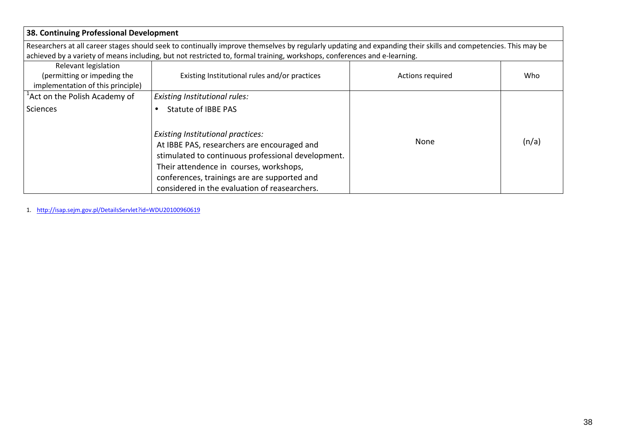| 38. Continuing Professional Development                                                                                                                       |                                                                                                                                                                                                                                                                                           |                  |       |  |  |  |
|---------------------------------------------------------------------------------------------------------------------------------------------------------------|-------------------------------------------------------------------------------------------------------------------------------------------------------------------------------------------------------------------------------------------------------------------------------------------|------------------|-------|--|--|--|
| Researchers at all career stages should seek to continually improve themselves by regularly updating and expanding their skills and competencies. This may be |                                                                                                                                                                                                                                                                                           |                  |       |  |  |  |
| achieved by a variety of means including, but not restricted to, formal training, workshops, conferences and e-learning.                                      |                                                                                                                                                                                                                                                                                           |                  |       |  |  |  |
| Relevant legislation                                                                                                                                          |                                                                                                                                                                                                                                                                                           |                  |       |  |  |  |
| (permitting or impeding the                                                                                                                                   | Existing Institutional rules and/or practices                                                                                                                                                                                                                                             | Actions required | Who   |  |  |  |
| implementation of this principle)                                                                                                                             |                                                                                                                                                                                                                                                                                           |                  |       |  |  |  |
| <sup>1</sup> Act on the Polish Academy of                                                                                                                     | Existing Institutional rules:                                                                                                                                                                                                                                                             |                  |       |  |  |  |
| Sciences                                                                                                                                                      | <b>Statute of IBBE PAS</b>                                                                                                                                                                                                                                                                |                  |       |  |  |  |
|                                                                                                                                                               | <b>Existing Institutional practices:</b><br>At IBBE PAS, researchers are encouraged and<br>stimulated to continuous professional development.<br>Their attendence in courses, workshops,<br>conferences, trainings are are supported and<br>considered in the evaluation of reasearchers. | <b>None</b>      | (n/a) |  |  |  |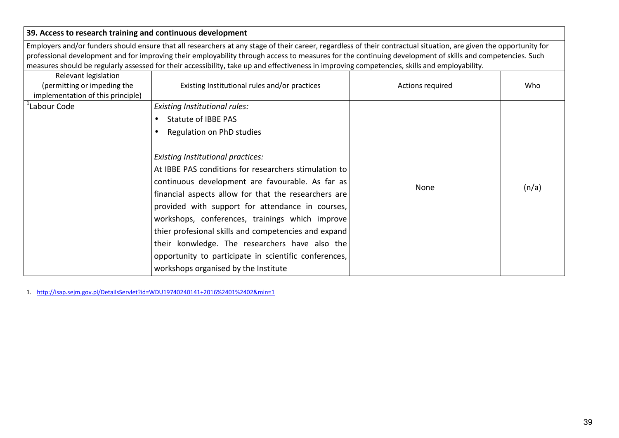| 39. Access to research training and continuous development                                                                                                                                                                                                                                                                                                                                                                                                                       |                                                                                                                                                                                                                                                                                                                                                                                                                                                                                                                                 |                  |       |  |  |  |
|----------------------------------------------------------------------------------------------------------------------------------------------------------------------------------------------------------------------------------------------------------------------------------------------------------------------------------------------------------------------------------------------------------------------------------------------------------------------------------|---------------------------------------------------------------------------------------------------------------------------------------------------------------------------------------------------------------------------------------------------------------------------------------------------------------------------------------------------------------------------------------------------------------------------------------------------------------------------------------------------------------------------------|------------------|-------|--|--|--|
| Employers and/or funders should ensure that all researchers at any stage of their career, regardless of their contractual situation, are given the opportunity for<br>professional development and for improving their employability through access to measures for the continuing development of skills and competencies. Such<br>measures should be regularly assessed for their accessibility, take up and effectiveness in improving competencies, skills and employability. |                                                                                                                                                                                                                                                                                                                                                                                                                                                                                                                                 |                  |       |  |  |  |
| Relevant legislation<br>(permitting or impeding the<br>implementation of this principle)                                                                                                                                                                                                                                                                                                                                                                                         | Existing Institutional rules and/or practices                                                                                                                                                                                                                                                                                                                                                                                                                                                                                   | Actions required | Who   |  |  |  |
| Labour Code                                                                                                                                                                                                                                                                                                                                                                                                                                                                      | <b>Existing Institutional rules:</b>                                                                                                                                                                                                                                                                                                                                                                                                                                                                                            |                  |       |  |  |  |
|                                                                                                                                                                                                                                                                                                                                                                                                                                                                                  | <b>Statute of IBBE PAS</b>                                                                                                                                                                                                                                                                                                                                                                                                                                                                                                      |                  |       |  |  |  |
|                                                                                                                                                                                                                                                                                                                                                                                                                                                                                  | Regulation on PhD studies                                                                                                                                                                                                                                                                                                                                                                                                                                                                                                       |                  |       |  |  |  |
|                                                                                                                                                                                                                                                                                                                                                                                                                                                                                  | <b>Existing Institutional practices:</b><br>At IBBE PAS conditions for researchers stimulation to<br>continuous development are favourable. As far as<br>financial aspects allow for that the researchers are<br>provided with support for attendance in courses,<br>workshops, conferences, trainings which improve<br>thier profesional skills and competencies and expand<br>their konwledge. The researchers have also the<br>opportunity to participate in scientific conferences,<br>workshops organised by the Institute | None             | (n/a) |  |  |  |

1. http://isap.sejm.gov.pl/DetailsServlet?id=WDU19740240141+2016%2401%2402&min=1